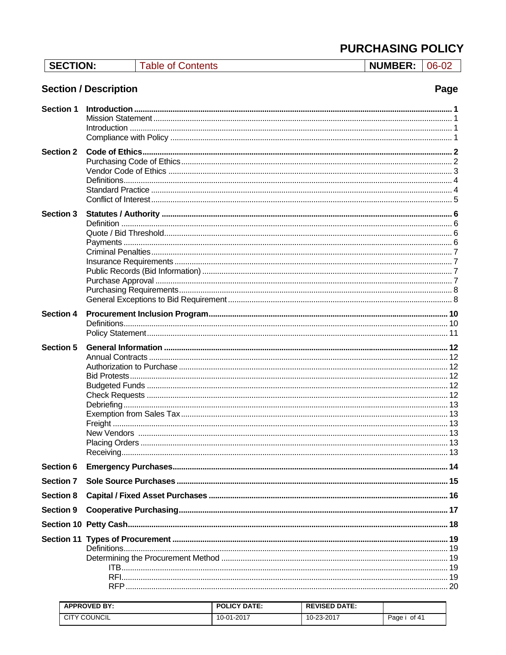**NUMBER: 06-02** 

# **Section / Description**

# Page

| <b>Section 1</b> |  |
|------------------|--|
| <b>Section 2</b> |  |
| <b>Section 3</b> |  |
| <b>Section 4</b> |  |
| <b>Section 5</b> |  |
| Section 6        |  |
| <b>Section 7</b> |  |
| <b>Section 8</b> |  |
| <b>Section 9</b> |  |
|                  |  |
|                  |  |

| <b>APPROVED BY:</b> | <b>POLICY DATE:</b> | <b>REVISED DATE:</b> |                |
|---------------------|---------------------|----------------------|----------------|
| ' COUNCIL<br>◡╷     | 10-01-2017          | 10-23-2017           | of 41<br>Page, |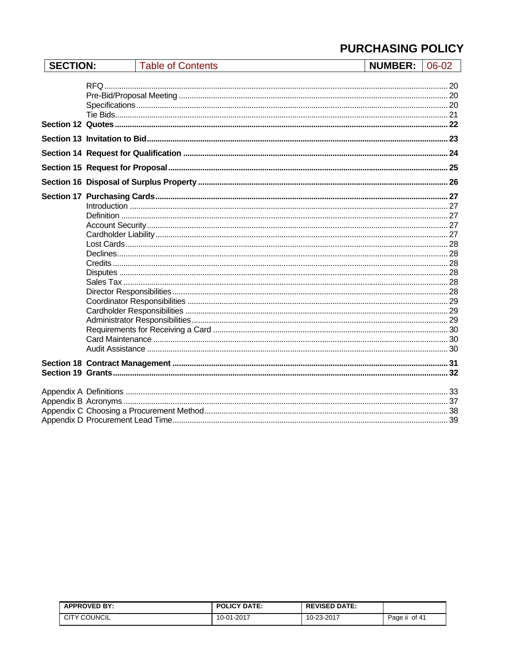| <b>SECTION:</b> | <b>Table of Contents</b> | $NUMBER: 106-02$ |  |
|-----------------|--------------------------|------------------|--|
|                 |                          |                  |  |
|                 |                          |                  |  |
|                 |                          |                  |  |
|                 |                          |                  |  |

| <b>APPROVED BY:</b> | <b>POLICY DATE:</b> | <b>REVISED DATE:</b> |                      |
|---------------------|---------------------|----------------------|----------------------|
| <b>CITY COUNCIL</b> | -01-2017<br>10-v    | 10-23-2017           | <br>of 41<br>Page ii |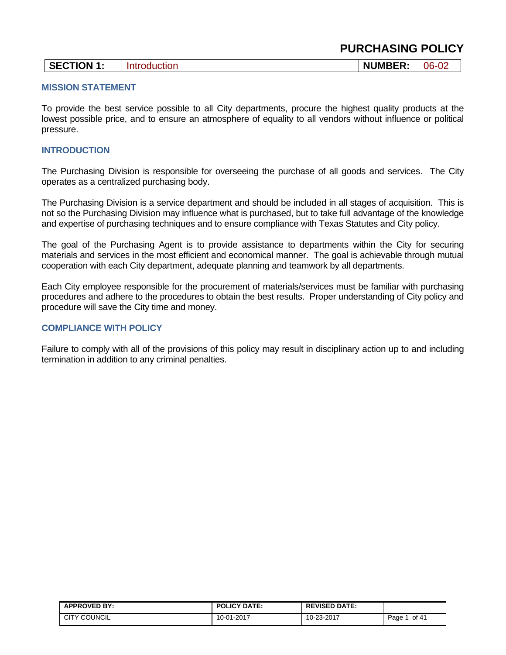|  | <b>SECTION 1:</b> | 1.01.02<br>OС | <b>NUMBER:</b> | $06-02$ |
|--|-------------------|---------------|----------------|---------|
|--|-------------------|---------------|----------------|---------|

#### **MISSION STATEMENT**

To provide the best service possible to all City departments, procure the highest quality products at the lowest possible price, and to ensure an atmosphere of equality to all vendors without influence or political pressure.

#### **INTRODUCTION**

The Purchasing Division is responsible for overseeing the purchase of all goods and services. The City operates as a centralized purchasing body.

The Purchasing Division is a service department and should be included in all stages of acquisition. This is not so the Purchasing Division may influence what is purchased, but to take full advantage of the knowledge and expertise of purchasing techniques and to ensure compliance with Texas Statutes and City policy.

The goal of the Purchasing Agent is to provide assistance to departments within the City for securing materials and services in the most efficient and economical manner. The goal is achievable through mutual cooperation with each City department, adequate planning and teamwork by all departments.

Each City employee responsible for the procurement of materials/services must be familiar with purchasing procedures and adhere to the procedures to obtain the best results. Proper understanding of City policy and procedure will save the City time and money.

### **COMPLIANCE WITH POLICY**

Failure to comply with all of the provisions of this policy may result in disciplinary action up to and including termination in addition to any criminal penalties.

| <b>APPROVED BY:</b> | <b>POLICY DATE:</b> | <b>REVISED DATE:</b> |               |
|---------------------|---------------------|----------------------|---------------|
| <b>CITY COUNCIL</b> | 10-01-2017          | 10-23-2017           | of 41<br>Page |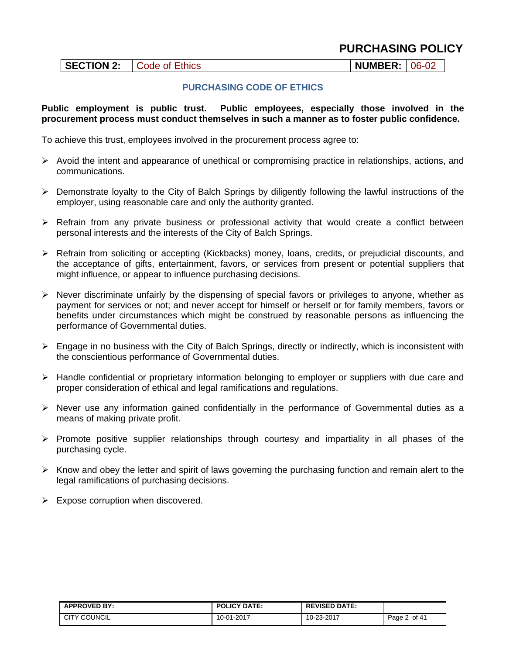|  | SECTION 2: Code of Ethics | NUMBER:   06-02 |  |
|--|---------------------------|-----------------|--|
|--|---------------------------|-----------------|--|

### **PURCHASING CODE OF ETHICS**

#### **Public employment is public trust. Public employees, especially those involved in the procurement process must conduct themselves in such a manner as to foster public confidence.**

To achieve this trust, employees involved in the procurement process agree to:

- $\triangleright$  Avoid the intent and appearance of unethical or compromising practice in relationships, actions, and communications.
- $\triangleright$  Demonstrate loyalty to the City of Balch Springs by diligently following the lawful instructions of the employer, using reasonable care and only the authority granted.
- $\triangleright$  Refrain from any private business or professional activity that would create a conflict between personal interests and the interests of the City of Balch Springs.
- Refrain from soliciting or accepting (Kickbacks) money, loans, credits, or prejudicial discounts, and the acceptance of gifts, entertainment, favors, or services from present or potential suppliers that might influence, or appear to influence purchasing decisions.
- $\triangleright$  Never discriminate unfairly by the dispensing of special favors or privileges to anyone, whether as payment for services or not; and never accept for himself or herself or for family members, favors or benefits under circumstances which might be construed by reasonable persons as influencing the performance of Governmental duties.
- $\triangleright$  Engage in no business with the City of Balch Springs, directly or indirectly, which is inconsistent with the conscientious performance of Governmental duties.
- $\triangleright$  Handle confidential or proprietary information belonging to employer or suppliers with due care and proper consideration of ethical and legal ramifications and regulations.
- $\triangleright$  Never use any information gained confidentially in the performance of Governmental duties as a means of making private profit.
- $\triangleright$  Promote positive supplier relationships through courtesy and impartiality in all phases of the purchasing cycle.
- $\triangleright$  Know and obey the letter and spirit of laws governing the purchasing function and remain alert to the legal ramifications of purchasing decisions.
- $\triangleright$  Expose corruption when discovered.

| <b>APPROVED BY:</b> | <b>POLICY DATE:</b> | <b>REVISED DATE:</b> |                 |
|---------------------|---------------------|----------------------|-----------------|
| <b>CITY COUNCIL</b> | 10-01-2017          | 10-23-2017           | of 41<br>Page 2 |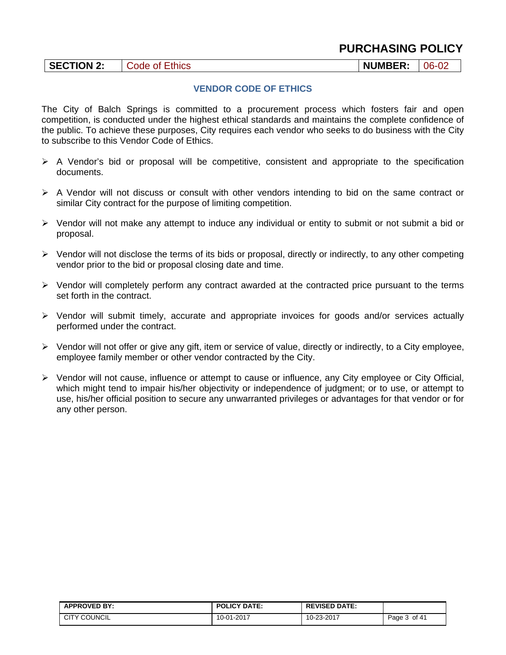| <b>SECTION 2:</b> | Ethics<br>Gode:<br>Ωt | <b>NUMBER:</b> | 06-02 |
|-------------------|-----------------------|----------------|-------|
|-------------------|-----------------------|----------------|-------|

### **VENDOR CODE OF ETHICS**

The City of Balch Springs is committed to a procurement process which fosters fair and open competition, is conducted under the highest ethical standards and maintains the complete confidence of the public. To achieve these purposes, City requires each vendor who seeks to do business with the City to subscribe to this Vendor Code of Ethics.

- A Vendor's bid or proposal will be competitive, consistent and appropriate to the specification documents.
- $\triangleright$  A Vendor will not discuss or consult with other vendors intending to bid on the same contract or similar City contract for the purpose of limiting competition.
- $\triangleright$  Vendor will not make any attempt to induce any individual or entity to submit or not submit a bid or proposal.
- $\triangleright$  Vendor will not disclose the terms of its bids or proposal, directly or indirectly, to any other competing vendor prior to the bid or proposal closing date and time.
- $\triangleright$  Vendor will completely perform any contract awarded at the contracted price pursuant to the terms set forth in the contract.
- $\triangleright$  Vendor will submit timely, accurate and appropriate invoices for goods and/or services actually performed under the contract.
- $\triangleright$  Vendor will not offer or give any gift, item or service of value, directly or indirectly, to a City employee, employee family member or other vendor contracted by the City.
- Vendor will not cause, influence or attempt to cause or influence, any City employee or City Official, which might tend to impair his/her objectivity or independence of judgment; or to use, or attempt to use, his/her official position to secure any unwarranted privileges or advantages for that vendor or for any other person.

| <b>APPROVED BY:</b> | <b>POLICY DATE:</b> | <b>REVISED DATE:</b> |                 |
|---------------------|---------------------|----------------------|-----------------|
| <b>CITY COUNCIL</b> | 10-01-2017          | 10-23-2017           | of 41<br>Page 5 |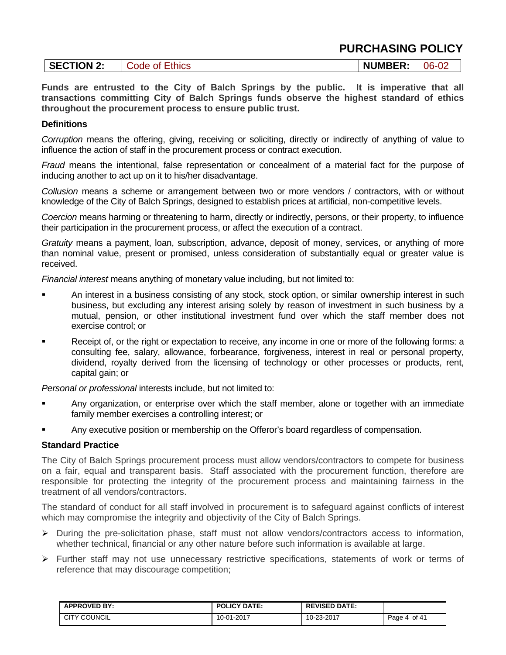| <b>SECTION 2:</b> | Ethics<br>0t<br>Jode | <b>NUMBER:</b> | 06- |
|-------------------|----------------------|----------------|-----|
|-------------------|----------------------|----------------|-----|

**Funds are entrusted to the City of Balch Springs by the public. It is imperative that all transactions committing City of Balch Springs funds observe the highest standard of ethics throughout the procurement process to ensure public trust.** 

### **Definitions**

*Corruption* means the offering, giving, receiving or soliciting, directly or indirectly of anything of value to influence the action of staff in the procurement process or contract execution.

*Fraud* means the intentional, false representation or concealment of a material fact for the purpose of inducing another to act up on it to his/her disadvantage.

*Collusion* means a scheme or arrangement between two or more vendors / contractors, with or without knowledge of the City of Balch Springs, designed to establish prices at artificial, non-competitive levels.

*Coercion* means harming or threatening to harm, directly or indirectly, persons, or their property, to influence their participation in the procurement process, or affect the execution of a contract.

*Gratuity* means a payment, loan, subscription, advance, deposit of money, services, or anything of more than nominal value, present or promised, unless consideration of substantially equal or greater value is received.

*Financial interest* means anything of monetary value including, but not limited to:

- An interest in a business consisting of any stock, stock option, or similar ownership interest in such business, but excluding any interest arising solely by reason of investment in such business by a mutual, pension, or other institutional investment fund over which the staff member does not exercise control; or
- Receipt of, or the right or expectation to receive, any income in one or more of the following forms: a consulting fee, salary, allowance, forbearance, forgiveness, interest in real or personal property, dividend, royalty derived from the licensing of technology or other processes or products, rent, capital gain; or

*Personal or professional* interests include, but not limited to:

- Any organization, or enterprise over which the staff member, alone or together with an immediate family member exercises a controlling interest; or
- Any executive position or membership on the Offeror's board regardless of compensation.

### **Standard Practice**

The City of Balch Springs procurement process must allow vendors/contractors to compete for business on a fair, equal and transparent basis. Staff associated with the procurement function, therefore are responsible for protecting the integrity of the procurement process and maintaining fairness in the treatment of all vendors/contractors.

The standard of conduct for all staff involved in procurement is to safeguard against conflicts of interest which may compromise the integrity and objectivity of the City of Balch Springs.

- $\triangleright$  During the pre-solicitation phase, staff must not allow vendors/contractors access to information, whether technical, financial or any other nature before such information is available at large.
- Further staff may not use unnecessary restrictive specifications, statements of work or terms of reference that may discourage competition;

| <b>APPROVED BY:</b>       | <b>POLICY DATE:</b> | <b>REVISED DATE:</b> |                                              |
|---------------------------|---------------------|----------------------|----------------------------------------------|
| ' COUNCIL<br>$\sim$<br>UI | 10-01-2017          | 10-23-2017           | of 41<br>$P$ age.<br>$\overline{\mathbf{u}}$ |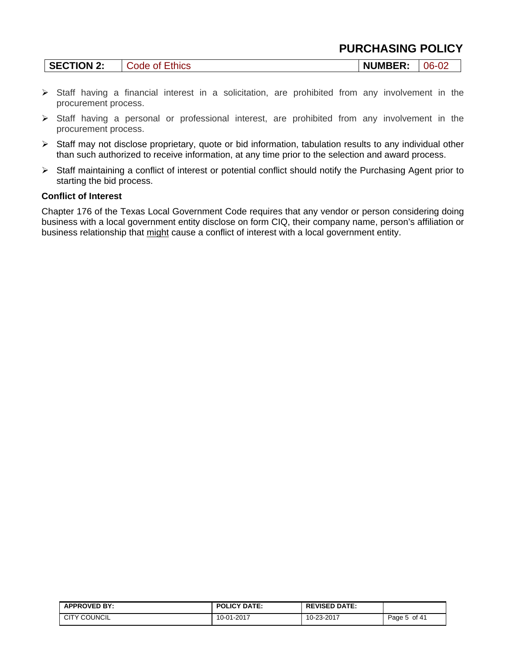| <b>SECTION 2:</b> | Code of Ethics | <b>NUMBER:</b> | $06-0$ |
|-------------------|----------------|----------------|--------|
|-------------------|----------------|----------------|--------|

- $\triangleright$  Staff having a financial interest in a solicitation, are prohibited from any involvement in the procurement process.
- Staff having a personal or professional interest, are prohibited from any involvement in the procurement process.
- $\triangleright$  Staff may not disclose proprietary, quote or bid information, tabulation results to any individual other than such authorized to receive information, at any time prior to the selection and award process.
- Staff maintaining a conflict of interest or potential conflict should notify the Purchasing Agent prior to starting the bid process.

### **Conflict of Interest**

Chapter 176 of the Texas Local Government Code requires that any vendor or person considering doing business with a local government entity disclose on form CIQ, their company name, person's affiliation or business relationship that might cause a conflict of interest with a local government entity.

| <b>APPROVED BY:</b> | <b>POLICY DATE:</b> | <b>REVISED DATE:</b> |                    |
|---------------------|---------------------|----------------------|--------------------|
| <b>CITY COUNCIL</b> | 10-01-2017          | 10-23-2017           | of 41<br>$P$ age 5 |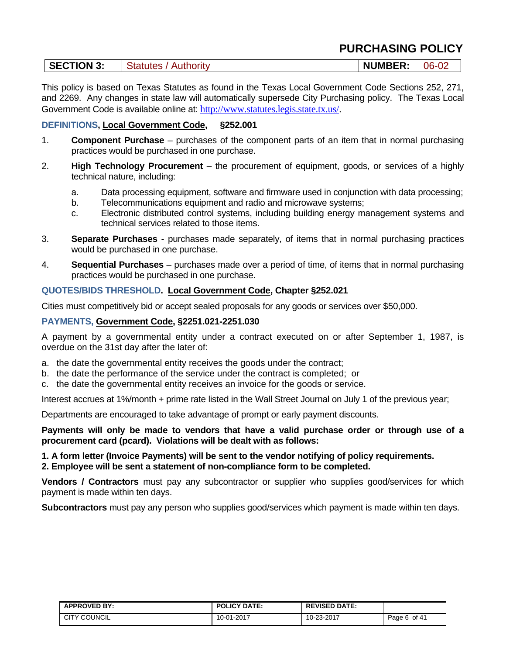| <b>SECTION 3:</b> | <b>Statutes / Authority</b> | <b>NUMBER:</b> | $06 - 02$ |
|-------------------|-----------------------------|----------------|-----------|
|-------------------|-----------------------------|----------------|-----------|

This policy is based on Texas Statutes as found in the Texas Local Government Code Sections 252, 271, and 2269. Any changes in state law will automatically supersede City Purchasing policy. The Texas Local Government Code is available online at: http://www.statutes.legis.state.tx.us/.

### **DEFINITIONS, Local Government Code, §252.001**

- 1. **Component Purchase** purchases of the component parts of an item that in normal purchasing practices would be purchased in one purchase.
- 2. **High Technology Procurement** the procurement of equipment, goods, or services of a highly technical nature, including:
	- a. Data processing equipment, software and firmware used in conjunction with data processing;
	- b. Telecommunications equipment and radio and microwave systems;
	- c. Electronic distributed control systems, including building energy management systems and technical services related to those items.
- 3. **Separate Purchases** purchases made separately, of items that in normal purchasing practices would be purchased in one purchase.
- 4. **Sequential Purchases** purchases made over a period of time, of items that in normal purchasing practices would be purchased in one purchase.

### **QUOTES/BIDS THRESHOLD. Local Government Code, Chapter §252.021**

Cities must competitively bid or accept sealed proposals for any goods or services over \$50,000.

#### **PAYMENTS, Government Code, §2251.021-2251.030**

A payment by a governmental entity under a contract executed on or after September 1, 1987, is overdue on the 31st day after the later of:

- a. the date the governmental entity receives the goods under the contract;
- b. the date the performance of the service under the contract is completed; or
- c. the date the governmental entity receives an invoice for the goods or service.

Interest accrues at 1%/month + prime rate listed in the Wall Street Journal on July 1 of the previous year;

Departments are encouraged to take advantage of prompt or early payment discounts.

**Payments will only be made to vendors that have a valid purchase order or through use of a procurement card (pcard). Violations will be dealt with as follows:** 

### **1. A form letter (Invoice Payments) will be sent to the vendor notifying of policy requirements.**

**2. Employee will be sent a statement of non-compliance form to be completed.** 

**Vendors / Contractors** must pay any subcontractor or supplier who supplies good/services for which payment is made within ten days.

**Subcontractors** must pay any person who supplies good/services which payment is made within ten days.

| <b>APPROVED BY:</b> | <b>POLICY DATE:</b> | <b>REVISED DATE:</b> |                 |
|---------------------|---------------------|----------------------|-----------------|
| CITY COUNCIL        | 10-01-2017          | 10-23-2017           | of 41<br>Page 6 |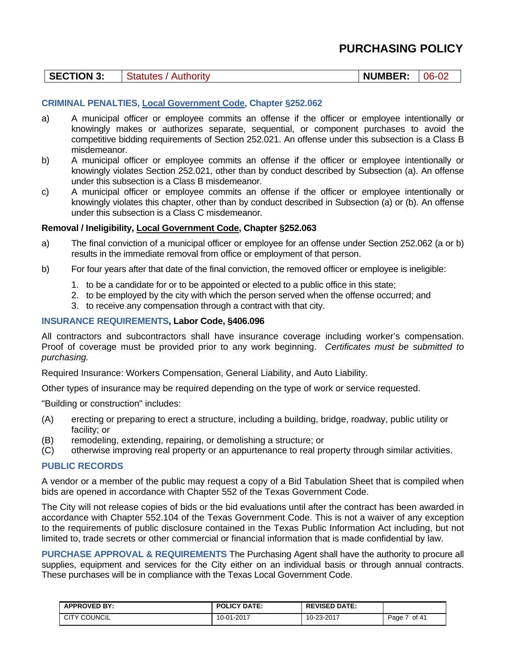| <b>SECTION 3:</b> | <b>Statutes / Authority</b> |  | <b>NUMBER:</b> | $-06-0$ |
|-------------------|-----------------------------|--|----------------|---------|
|-------------------|-----------------------------|--|----------------|---------|

### **CRIMINAL PENALTIES, Local Government Code, Chapter §252.062**

- a) A municipal officer or employee commits an offense if the officer or employee intentionally or knowingly makes or authorizes separate, sequential, or component purchases to avoid the competitive bidding requirements of Section 252.021. An offense under this subsection is a Class B misdemeanor.
- b) A municipal officer or employee commits an offense if the officer or employee intentionally or knowingly violates Section 252.021, other than by conduct described by Subsection (a). An offense under this subsection is a Class B misdemeanor.
- c) A municipal officer or employee commits an offense if the officer or employee intentionally or knowingly violates this chapter, other than by conduct described in Subsection (a) or (b). An offense under this subsection is a Class C misdemeanor.

### **Removal / Ineligibility, Local Government Code, Chapter §252.063**

- a) The final conviction of a municipal officer or employee for an offense under Section 252.062 (a or b) results in the immediate removal from office or employment of that person.
- b) For four years after that date of the final conviction, the removed officer or employee is ineligible:
	- 1. to be a candidate for or to be appointed or elected to a public office in this state;
	- 2. to be employed by the city with which the person served when the offense occurred; and
	- 3. to receive any compensation through a contract with that city.

### **INSURANCE REQUIREMENTS, Labor Code, §406.096**

All contractors and subcontractors shall have insurance coverage including worker's compensation. Proof of coverage must be provided prior to any work beginning. *Certificates must be submitted to purchasing.* 

Required Insurance: Workers Compensation, General Liability, and Auto Liability.

Other types of insurance may be required depending on the type of work or service requested.

"Building or construction" includes:

- (A) erecting or preparing to erect a structure, including a building, bridge, roadway, public utility or facility; or
- (B) remodeling, extending, repairing, or demolishing a structure; or
- (C) otherwise improving real property or an appurtenance to real property through similar activities.

#### **PUBLIC RECORDS**

A vendor or a member of the public may request a copy of a Bid Tabulation Sheet that is compiled when bids are opened in accordance with Chapter 552 of the Texas Government Code.

The City will not release copies of bids or the bid evaluations until after the contract has been awarded in accordance with Chapter 552.104 of the Texas Government Code. This is not a waiver of any exception to the requirements of public disclosure contained in the Texas Public Information Act including, but not limited to, trade secrets or other commercial or financial information that is made confidential by law.

**PURCHASE APPROVAL & REQUIREMENTS** The Purchasing Agent shall have the authority to procure all supplies, equipment and services for the City either on an individual basis or through annual contracts. These purchases will be in compliance with the Texas Local Government Code.

| <b>APPROVED BY:</b> | <b>POLICY DATE:</b> | <b>REVISED DATE:</b> |               |
|---------------------|---------------------|----------------------|---------------|
| <b>CITY COUNCIL</b> | 10-01-2017          | 10-23-2017           | of 41<br>Page |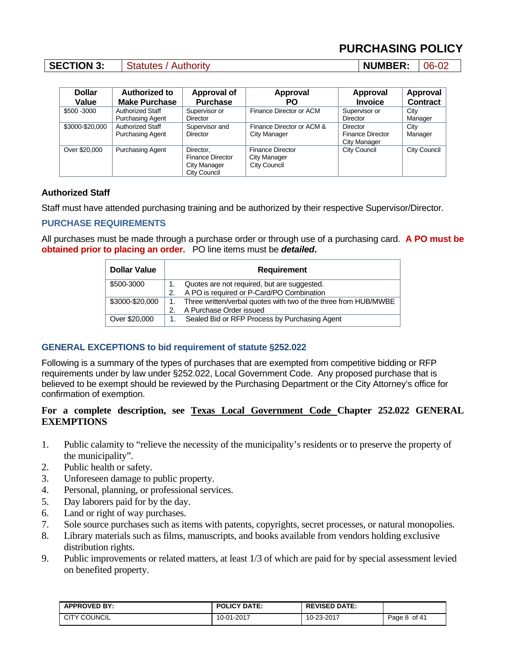### **SECTION 3:** Statutes / Authority **NUMBER:** 06-02

| <b>Dollar</b><br>Value | Authorized to<br><b>Make Purchase</b>              | <b>Approval of</b><br><b>Purchase</b>                                | <b>Approval</b><br>PO                                          | Approval<br><b>Invoice</b>                                 | Approval<br><b>Contract</b> |
|------------------------|----------------------------------------------------|----------------------------------------------------------------------|----------------------------------------------------------------|------------------------------------------------------------|-----------------------------|
| \$500 - 3000           | <b>Authorized Staff</b><br><b>Purchasing Agent</b> | Supervisor or<br><b>Director</b>                                     | Finance Director or ACM                                        | Supervisor or<br><b>Director</b>                           | City<br>Manager             |
| \$3000-\$20,000        | Authorized Staff<br><b>Purchasing Agent</b>        | Supervisor and<br>Director                                           | Finance Director or ACM &<br>City Manager                      | <b>Director</b><br><b>Finance Director</b><br>City Manager | City<br>Manager             |
| Over \$20,000          | <b>Purchasing Agent</b>                            | Director,<br><b>Finance Director</b><br>City Manager<br>City Council | <b>Finance Director</b><br>City Manager<br><b>City Council</b> | <b>City Council</b>                                        | City Council                |

### **Authorized Staff**

Staff must have attended purchasing training and be authorized by their respective Supervisor/Director.

### **PURCHASE REQUIREMENTS**

All purchases must be made through a purchase order or through use of a purchasing card. **A PO must be obtained prior to placing an order.** PO line items must be *detailed***.** 

| <b>Dollar Value</b> | Requirement                                                     |  |
|---------------------|-----------------------------------------------------------------|--|
| \$500-3000          | Quotes are not required, but are suggested.                     |  |
|                     | A PO is required or P-Card/PO Combination                       |  |
| \$3000-\$20,000     | Three written/verbal quotes with two of the three from HUB/MWBE |  |
|                     | A Purchase Order issued                                         |  |
| Over \$20,000       | Sealed Bid or RFP Process by Purchasing Agent                   |  |

### **GENERAL EXCEPTIONS to bid requirement of statute §252.022**

Following is a summary of the types of purchases that are exempted from competitive bidding or RFP requirements under by law under §252.022, Local Government Code. Any proposed purchase that is believed to be exempt should be reviewed by the Purchasing Department or the City Attorney's office for confirmation of exemption.

### **For a complete description, see Texas Local Government Code Chapter 252.022 GENERAL EXEMPTIONS**

- 1. Public calamity to "relieve the necessity of the municipality's residents or to preserve the property of the municipality".
- 2. Public health or safety.
- 3. Unforeseen damage to public property.
- 4. Personal, planning, or professional services.
- 5. Day laborers paid for by the day.
- 6. Land or right of way purchases.
- 7. Sole source purchases such as items with patents, copyrights, secret processes, or natural monopolies.
- 8. Library materials such as films, manuscripts, and books available from vendors holding exclusive distribution rights.
- 9. Public improvements or related matters, at least 1/3 of which are paid for by special assessment levied on benefited property.

| <b>APPROVED BY:</b> | <b>POLICY DATE:</b> | <b>REVISED DATE:</b> |                 |
|---------------------|---------------------|----------------------|-----------------|
| <b>CITY COUNCIL</b> | 10-01-2017          | 10-23-2017           | of 41<br>Page c |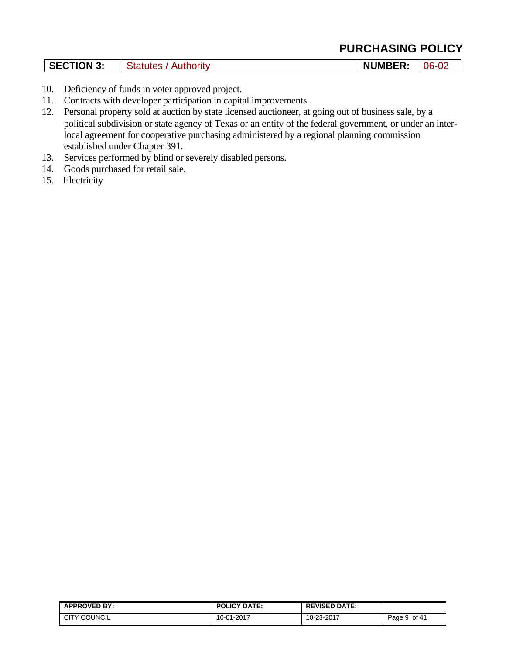| <b>SECTION 3:</b><br>Statutes<br>Authority | <b>NUMBER:</b><br>06 |
|--------------------------------------------|----------------------|
|--------------------------------------------|----------------------|

- 10. Deficiency of funds in voter approved project.
- 11. Contracts with developer participation in capital improvements.
- 12. Personal property sold at auction by state licensed auctioneer, at going out of business sale, by a political subdivision or state agency of Texas or an entity of the federal government, or under an interlocal agreement for cooperative purchasing administered by a regional planning commission established under Chapter 391.
- 13. Services performed by blind or severely disabled persons.
- 14. Goods purchased for retail sale.
- 15. Electricity

| <b>APPROVED BY:</b>        | <b>POLICY DATE:</b>      | <b>REVISED DATE:</b> |                 |
|----------------------------|--------------------------|----------------------|-----------------|
| ' COUNCIL<br>$\sim$<br>الت | $-01 - 2017$<br>$10 - 6$ | 10-23-2017           | of 41<br>Page 9 |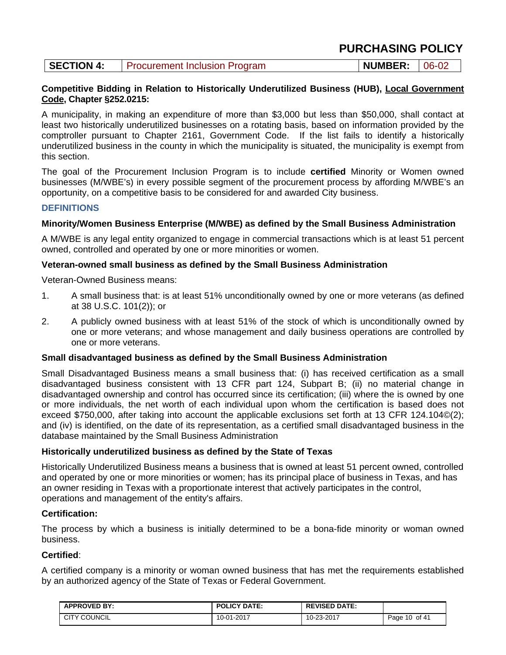| <b>SECTION 4:</b> | <b>Procurement Inclusion Program</b> | $\mid$ NUMBER: $\mid$ 06-02 |  |
|-------------------|--------------------------------------|-----------------------------|--|
|-------------------|--------------------------------------|-----------------------------|--|

#### **Competitive Bidding in Relation to Historically Underutilized Business (HUB), Local Government Code, Chapter §252.0215:**

A municipality, in making an expenditure of more than \$3,000 but less than \$50,000, shall contact at least two historically underutilized businesses on a rotating basis, based on information provided by the comptroller pursuant to Chapter 2161, Government Code. If the list fails to identify a historically underutilized business in the county in which the municipality is situated, the municipality is exempt from this section.

The goal of the Procurement Inclusion Program is to include **certified** Minority or Women owned businesses (M/WBE's) in every possible segment of the procurement process by affording M/WBE's an opportunity, on a competitive basis to be considered for and awarded City business.

### **DEFINITIONS**

### **Minority/Women Business Enterprise (M/WBE) as defined by the Small Business Administration**

A M/WBE is any legal entity organized to engage in commercial transactions which is at least 51 percent owned, controlled and operated by one or more minorities or women.

### **Veteran-owned small business as defined by the Small Business Administration**

Veteran-Owned Business means:

- 1. A small business that: is at least 51% unconditionally owned by one or more veterans (as defined at 38 U.S.C. 101(2)); or
- 2. A publicly owned business with at least 51% of the stock of which is unconditionally owned by one or more veterans; and whose management and daily business operations are controlled by one or more veterans.

### **Small disadvantaged business as defined by the Small Business Administration**

Small Disadvantaged Business means a small business that: (i) has received certification as a small disadvantaged business consistent with 13 CFR part 124, Subpart B; (ii) no material change in disadvantaged ownership and control has occurred since its certification; (iii) where the is owned by one or more individuals, the net worth of each individual upon whom the certification is based does not exceed \$750,000, after taking into account the applicable exclusions set forth at 13 CFR 124.104©(2); and (iv) is identified, on the date of its representation, as a certified small disadvantaged business in the database maintained by the Small Business Administration

### **Historically underutilized business as defined by the State of Texas**

Historically Underutilized Business means a business that is owned at least 51 percent owned, controlled and operated by one or more minorities or women; has its principal place of business in Texas, and has an owner residing in Texas with a proportionate interest that actively participates in the control, operations and management of the entity's affairs.

### **Certification:**

The process by which a business is initially determined to be a bona-fide minority or woman owned business.

### **Certified**:

A certified company is a minority or woman owned business that has met the requirements established by an authorized agency of the State of Texas or Federal Government.

| <b>APPROVED BY:</b> | <b>POLICY DATE:</b> | <b>REVISED DATE:</b> |                  |
|---------------------|---------------------|----------------------|------------------|
| <b>CITY COUNCIL</b> | 10-01-2017          | 10-23-2017           | 10 of 41<br>Page |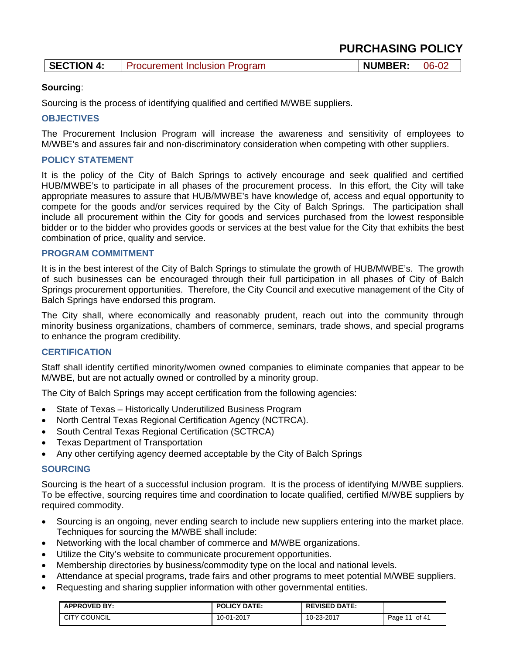| <b>PURCHASING POLICY</b> |  |
|--------------------------|--|
|--------------------------|--|

| <b>SECTION 4:</b> | <b>Procurement Inclusion Program</b> | NUMBER: 06-02 |  |
|-------------------|--------------------------------------|---------------|--|
|-------------------|--------------------------------------|---------------|--|

### **Sourcing**:

Sourcing is the process of identifying qualified and certified M/WBE suppliers.

### **OBJECTIVES**

The Procurement Inclusion Program will increase the awareness and sensitivity of employees to M/WBE's and assures fair and non-discriminatory consideration when competing with other suppliers.

### **POLICY STATEMENT**

It is the policy of the City of Balch Springs to actively encourage and seek qualified and certified HUB/MWBE's to participate in all phases of the procurement process. In this effort, the City will take appropriate measures to assure that HUB/MWBE's have knowledge of, access and equal opportunity to compete for the goods and/or services required by the City of Balch Springs. The participation shall include all procurement within the City for goods and services purchased from the lowest responsible bidder or to the bidder who provides goods or services at the best value for the City that exhibits the best combination of price, quality and service.

### **PROGRAM COMMITMENT**

It is in the best interest of the City of Balch Springs to stimulate the growth of HUB/MWBE's. The growth of such businesses can be encouraged through their full participation in all phases of City of Balch Springs procurement opportunities. Therefore, the City Council and executive management of the City of Balch Springs have endorsed this program.

The City shall, where economically and reasonably prudent, reach out into the community through minority business organizations, chambers of commerce, seminars, trade shows, and special programs to enhance the program credibility.

### **CERTIFICATION**

Staff shall identify certified minority/women owned companies to eliminate companies that appear to be M/WBE, but are not actually owned or controlled by a minority group.

The City of Balch Springs may accept certification from the following agencies:

- State of Texas Historically Underutilized Business Program
- North Central Texas Regional Certification Agency (NCTRCA).
- South Central Texas Regional Certification (SCTRCA)
- Texas Department of Transportation
- Any other certifying agency deemed acceptable by the City of Balch Springs

### **SOURCING**

Sourcing is the heart of a successful inclusion program. It is the process of identifying M/WBE suppliers. To be effective, sourcing requires time and coordination to locate qualified, certified M/WBE suppliers by required commodity.

- Sourcing is an ongoing, never ending search to include new suppliers entering into the market place. Techniques for sourcing the M/WBE shall include:
- Networking with the local chamber of commerce and M/WBE organizations.
- Utilize the City's website to communicate procurement opportunities.
- Membership directories by business/commodity type on the local and national levels.
- Attendance at special programs, trade fairs and other programs to meet potential M/WBE suppliers.
- Requesting and sharing supplier information with other governmental entities.

| <b>APPROVED BY:</b> | <b>POLICY DATE:</b> | <b>REVISED DATE:</b> |                 |
|---------------------|---------------------|----------------------|-----------------|
| <b>CITY COUNCIL</b> | 10-01-2017          | 10-23-2017           | of $41$<br>Page |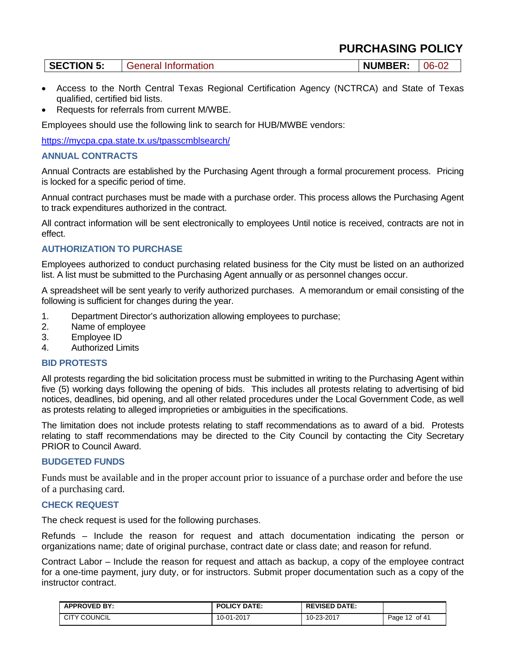| <b>SECTION 5:</b><br><b>NUMBER:</b><br>06-02<br>General Information |
|---------------------------------------------------------------------|
|---------------------------------------------------------------------|

- Access to the North Central Texas Regional Certification Agency (NCTRCA) and State of Texas qualified, certified bid lists.
- Requests for referrals from current M/WBE.

Employees should use the following link to search for HUB/MWBE vendors:

https://mycpa.cpa.state.tx.us/tpasscmblsearch/

### **ANNUAL CONTRACTS**

Annual Contracts are established by the Purchasing Agent through a formal procurement process. Pricing is locked for a specific period of time.

Annual contract purchases must be made with a purchase order. This process allows the Purchasing Agent to track expenditures authorized in the contract.

All contract information will be sent electronically to employees Until notice is received, contracts are not in effect.

### **AUTHORIZATION TO PURCHASE**

Employees authorized to conduct purchasing related business for the City must be listed on an authorized list. A list must be submitted to the Purchasing Agent annually or as personnel changes occur.

A spreadsheet will be sent yearly to verify authorized purchases. A memorandum or email consisting of the following is sufficient for changes during the year.

- 1. Department Director's authorization allowing employees to purchase;
- 2. Name of employee
- 3. Employee ID
- 4. Authorized Limits

### **BID PROTESTS**

All protests regarding the bid solicitation process must be submitted in writing to the Purchasing Agent within five (5) working days following the opening of bids. This includes all protests relating to advertising of bid notices, deadlines, bid opening, and all other related procedures under the Local Government Code, as well as protests relating to alleged improprieties or ambiguities in the specifications.

The limitation does not include protests relating to staff recommendations as to award of a bid. Protests relating to staff recommendations may be directed to the City Council by contacting the City Secretary PRIOR to Council Award.

### **BUDGETED FUNDS**

Funds must be available and in the proper account prior to issuance of a purchase order and before the use of a purchasing card.

### **CHECK REQUEST**

The check request is used for the following purchases.

Refunds – Include the reason for request and attach documentation indicating the person or organizations name; date of original purchase, contract date or class date; and reason for refund.

Contract Labor – Include the reason for request and attach as backup, a copy of the employee contract for a one-time payment, jury duty, or for instructors. Submit proper documentation such as a copy of the instructor contract.

| <b>APPROVED BY:</b> | <b>POLICY DATE:</b> | <b>REVISED DATE:</b> |               |
|---------------------|---------------------|----------------------|---------------|
| <b>CITY COUNCIL</b> | 10-01-2017          | 10-23-2017           | Page 12 of 41 |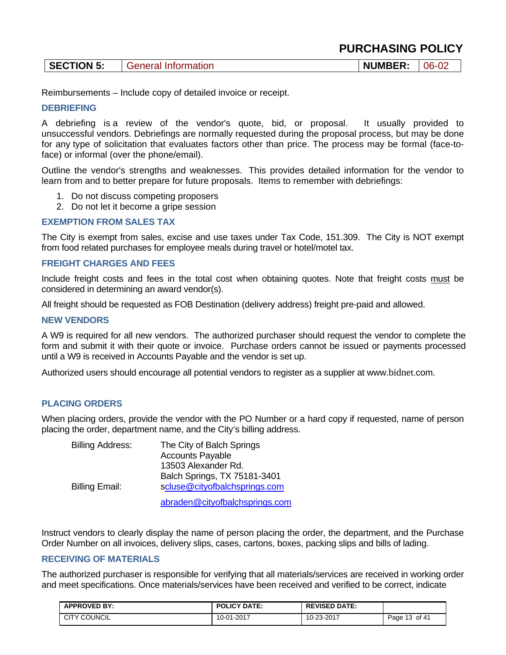| <b>PURCHASING POLICY</b> |
|--------------------------|
|--------------------------|

| SECTION 5:<br><b>General Information</b> | <b>NUMBER:</b> | $ 06-02$ |
|------------------------------------------|----------------|----------|
|------------------------------------------|----------------|----------|

Reimbursements – Include copy of detailed invoice or receipt.

#### **DEBRIEFING**

A debriefing is a review of the vendor's quote, bid, or proposal. It usually provided to unsuccessful vendors. Debriefings are normally requested during the proposal process, but may be done for any type of solicitation that evaluates factors other than price. The process may be formal (face-toface) or informal (over the phone/email).

Outline the vendor's strengths and weaknesses. This provides detailed information for the vendor to learn from and to better prepare for future proposals. Items to remember with debriefings:

- 1. Do not discuss competing proposers
- 2. Do not let it become a gripe session

#### **EXEMPTION FROM SALES TAX**

The City is exempt from sales, excise and use taxes under Tax Code, 151.309. The City is NOT exempt from food related purchases for employee meals during travel or hotel/motel tax.

### **FREIGHT CHARGES AND FEES**

Include freight costs and fees in the total cost when obtaining quotes. Note that freight costs must be considered in determining an award vendor(s).

All freight should be requested as FOB Destination (delivery address) freight pre-paid and allowed.

#### **NEW VENDORS**

A W9 is required for all new vendors. The authorized purchaser should request the vendor to complete the form and submit it with their quote or invoice. Purchase orders cannot be issued or payments processed until a W9 is received in Accounts Payable and the vendor is set up.

Authorized users should encourage all potential vendors to register as a supplier at www.bidnet.com.

### **PLACING ORDERS**

When placing orders, provide the vendor with the PO Number or a hard copy if requested, name of person placing the order, department name, and the City's billing address.

| <b>Billing Address:</b> | The City of Balch Springs      |
|-------------------------|--------------------------------|
|                         | <b>Accounts Payable</b>        |
|                         | 13503 Alexander Rd.            |
|                         | Balch Springs, TX 75181-3401   |
| <b>Billing Email:</b>   | scluse@cityofbalchsprings.com  |
|                         | abraden@cityofbalchsprings.com |

Instruct vendors to clearly display the name of person placing the order, the department, and the Purchase Order Number on all invoices, delivery slips, cases, cartons, boxes, packing slips and bills of lading.

#### **RECEIVING OF MATERIALS**

The authorized purchaser is responsible for verifying that all materials/services are received in working order and meet specifications. Once materials/services have been received and verified to be correct, indicate

| <b>APPROVED BY:</b> | <b>POLICY DATE:</b> | <b>REVISED DATE:</b> |                  |
|---------------------|---------------------|----------------------|------------------|
| <b>CITY COUNCIL</b> | 10-01-2017<br>10    | 10-23-2017           | of 41<br>Page 13 |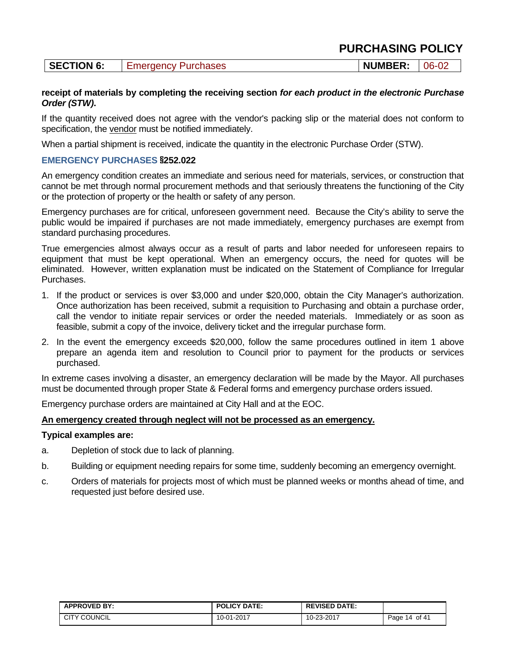| <b>SECTION 6:</b> | <b>Emergency Purchases</b> | <b>NUMBER:</b> | 06-02 |
|-------------------|----------------------------|----------------|-------|
|-------------------|----------------------------|----------------|-------|

### **receipt of materials by completing the receiving section** *for each product in the electronic Purchase Order (STW)***.**

If the quantity received does not agree with the vendor's packing slip or the material does not conform to specification, the vendor must be notified immediately.

When a partial shipment is received, indicate the quantity in the electronic Purchase Order (STW).

### **EMERGENCY PURCHASES §252.022**

An emergency condition creates an immediate and serious need for materials, services, or construction that cannot be met through normal procurement methods and that seriously threatens the functioning of the City or the protection of property or the health or safety of any person.

Emergency purchases are for critical, unforeseen government need. Because the City's ability to serve the public would be impaired if purchases are not made immediately, emergency purchases are exempt from standard purchasing procedures.

True emergencies almost always occur as a result of parts and labor needed for unforeseen repairs to equipment that must be kept operational. When an emergency occurs, the need for quotes will be eliminated. However, written explanation must be indicated on the Statement of Compliance for Irregular Purchases.

- 1. If the product or services is over \$3,000 and under \$20,000, obtain the City Manager's authorization. Once authorization has been received, submit a requisition to Purchasing and obtain a purchase order, call the vendor to initiate repair services or order the needed materials. Immediately or as soon as feasible, submit a copy of the invoice, delivery ticket and the irregular purchase form.
- 2. In the event the emergency exceeds \$20,000, follow the same procedures outlined in item 1 above prepare an agenda item and resolution to Council prior to payment for the products or services purchased.

In extreme cases involving a disaster, an emergency declaration will be made by the Mayor. All purchases must be documented through proper State & Federal forms and emergency purchase orders issued.

Emergency purchase orders are maintained at City Hall and at the EOC.

### **An emergency created through neglect will not be processed as an emergency.**

### **Typical examples are:**

- a. Depletion of stock due to lack of planning.
- b. Building or equipment needing repairs for some time, suddenly becoming an emergency overnight.
- c. Orders of materials for projects most of which must be planned weeks or months ahead of time, and requested just before desired use.

| <b>APPROVED BY:</b> | <b>POLICY DATE:</b> | <b>REVISED DATE:</b> |                  |
|---------------------|---------------------|----------------------|------------------|
| <b>CITY COUNCIL</b> | 10-01-2017          | 10-23-2017           | of 41<br>Page 14 |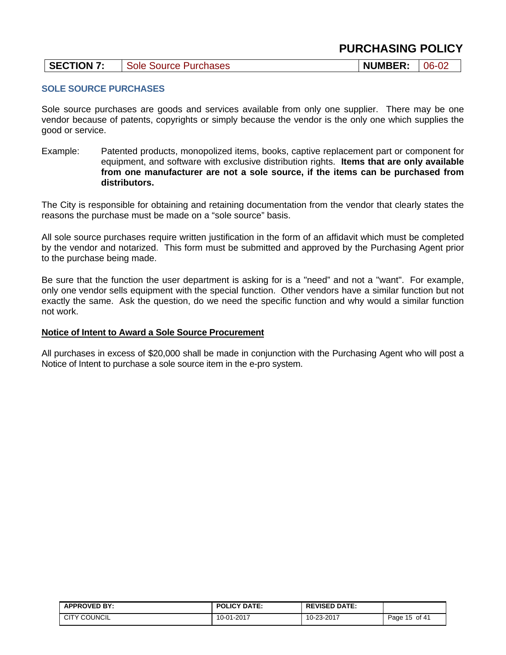| SECTION 7: | Sole Source Purchases | <b>NUMBER:</b> | $  06 - 02$ |
|------------|-----------------------|----------------|-------------|
|------------|-----------------------|----------------|-------------|

### **SOLE SOURCE PURCHASES**

Sole source purchases are goods and services available from only one supplier. There may be one vendor because of patents, copyrights or simply because the vendor is the only one which supplies the good or service.

Example: Patented products, monopolized items, books, captive replacement part or component for equipment, and software with exclusive distribution rights. **Items that are only available from one manufacturer are not a sole source, if the items can be purchased from distributors.** 

The City is responsible for obtaining and retaining documentation from the vendor that clearly states the reasons the purchase must be made on a "sole source" basis.

All sole source purchases require written justification in the form of an affidavit which must be completed by the vendor and notarized. This form must be submitted and approved by the Purchasing Agent prior to the purchase being made.

Be sure that the function the user department is asking for is a "need" and not a "want". For example, only one vendor sells equipment with the special function. Other vendors have a similar function but not exactly the same. Ask the question, do we need the specific function and why would a similar function not work.

### **Notice of Intent to Award a Sole Source Procurement**

All purchases in excess of \$20,000 shall be made in conjunction with the Purchasing Agent who will post a Notice of Intent to purchase a sole source item in the e-pro system.

| <b>APPROVED BY:</b> | <b>POLICY DATE:</b> | <b>REVISED DATE:</b> |               |
|---------------------|---------------------|----------------------|---------------|
| <b>CITY COUNCIL</b> | 10-01-2017          | 10-23-2017           | Page 15 of 41 |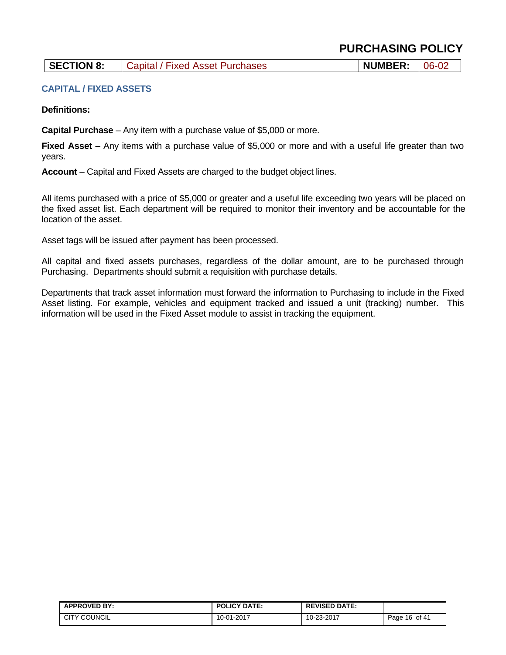### **SECTION 8:** Capital / Fixed Asset Purchases **NUMBER:** 06-02

### **CAPITAL / FIXED ASSETS**

**Definitions:** 

**Capital Purchase** – Any item with a purchase value of \$5,000 or more.

**Fixed Asset** – Any items with a purchase value of \$5,000 or more and with a useful life greater than two years.

**Account** – Capital and Fixed Assets are charged to the budget object lines.

All items purchased with a price of \$5,000 or greater and a useful life exceeding two years will be placed on the fixed asset list. Each department will be required to monitor their inventory and be accountable for the location of the asset.

Asset tags will be issued after payment has been processed.

All capital and fixed assets purchases, regardless of the dollar amount, are to be purchased through Purchasing. Departments should submit a requisition with purchase details.

Departments that track asset information must forward the information to Purchasing to include in the Fixed Asset listing. For example, vehicles and equipment tracked and issued a unit (tracking) number. This information will be used in the Fixed Asset module to assist in tracking the equipment.

| <b>APPROVED BY:</b> | <b>POLICY DATE:</b> | <b>REVISED DATE:</b> |                 |
|---------------------|---------------------|----------------------|-----------------|
| <b>CITY COUNCIL</b> | 10-01-2017          | 10-23-2017           | of 4<br>Page 16 |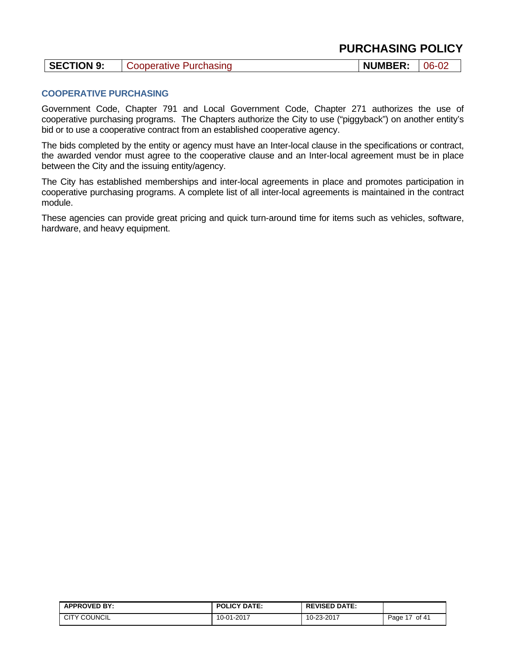### **COOPERATIVE PURCHASING**

Government Code, Chapter 791 and Local Government Code, Chapter 271 authorizes the use of cooperative purchasing programs. The Chapters authorize the City to use ("piggyback") on another entity's bid or to use a cooperative contract from an established cooperative agency.

The bids completed by the entity or agency must have an Inter-local clause in the specifications or contract, the awarded vendor must agree to the cooperative clause and an Inter-local agreement must be in place between the City and the issuing entity/agency.

The City has established memberships and inter-local agreements in place and promotes participation in cooperative purchasing programs. A complete list of all inter-local agreements is maintained in the contract module.

These agencies can provide great pricing and quick turn-around time for items such as vehicles, software, hardware, and heavy equipment.

| <b>APPROVED BY:</b> | <b>POLICY DATE:</b> | <b>REVISED DATE:</b> |                                    |
|---------------------|---------------------|----------------------|------------------------------------|
| <b>CITY COUNCIL</b> | 10-01-2017          | 10-23-2017           | of 41<br>$\rightarrow$<br>$P$ age, |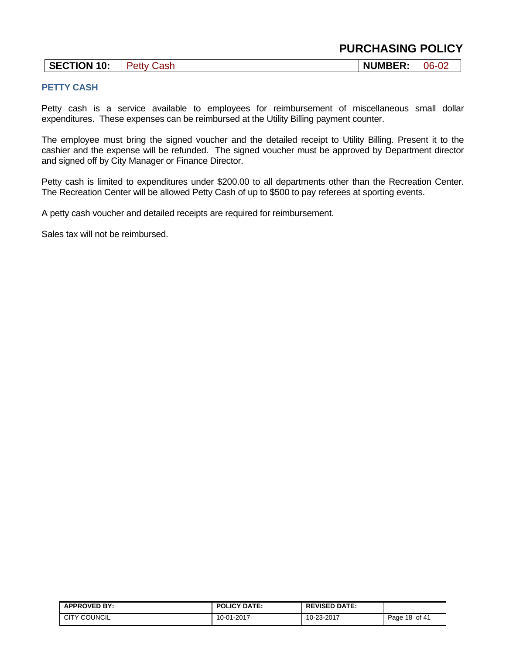| <b>PURCHASING POLICY</b> |  |
|--------------------------|--|
|--------------------------|--|

### **PETTY CASH**

Petty cash is a service available to employees for reimbursement of miscellaneous small dollar expenditures. These expenses can be reimbursed at the Utility Billing payment counter.

The employee must bring the signed voucher and the detailed receipt to Utility Billing. Present it to the cashier and the expense will be refunded. The signed voucher must be approved by Department director and signed off by City Manager or Finance Director.

Petty cash is limited to expenditures under \$200.00 to all departments other than the Recreation Center. The Recreation Center will be allowed Petty Cash of up to \$500 to pay referees at sporting events.

A petty cash voucher and detailed receipts are required for reimbursement.

Sales tax will not be reimbursed.

| <b>APPROVED BY:</b> | <b>POLICY DATE:</b> | <b>REVISED DATE:</b> |               |
|---------------------|---------------------|----------------------|---------------|
| <b>CITY COUNCIL</b> | 10-01-2017          | 10-23-2017           | Page 18 of 41 |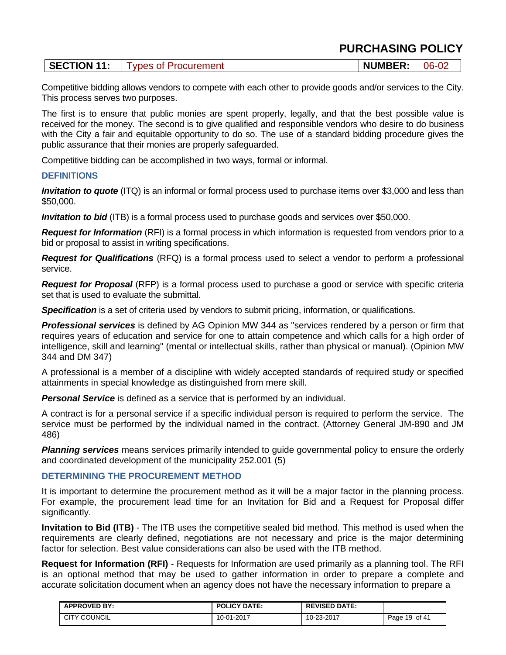| SECTION 11:<br>Types of Procurement | <b>NUMBER:</b> | $  06 - 02$ |
|-------------------------------------|----------------|-------------|
|-------------------------------------|----------------|-------------|

Competitive bidding allows vendors to compete with each other to provide goods and/or services to the City. This process serves two purposes.

The first is to ensure that public monies are spent properly, legally, and that the best possible value is received for the money. The second is to give qualified and responsible vendors who desire to do business with the City a fair and equitable opportunity to do so. The use of a standard bidding procedure gives the public assurance that their monies are properly safeguarded.

Competitive bidding can be accomplished in two ways, formal or informal.

### **DEFINITIONS**

*Invitation to quote* (ITQ) is an informal or formal process used to purchase items over \$3,000 and less than \$50,000.

*Invitation to bid* (ITB) is a formal process used to purchase goods and services over \$50,000.

*Request for Information* (RFI) is a formal process in which information is requested from vendors prior to a bid or proposal to assist in writing specifications.

*Request for Qualifications* (RFQ) is a formal process used to select a vendor to perform a professional service.

*Request for Proposal* (RFP) is a formal process used to purchase a good or service with specific criteria set that is used to evaluate the submittal.

**Specification** is a set of criteria used by vendors to submit pricing, information, or qualifications.

*Professional services* is defined by AG Opinion MW 344 as "services rendered by a person or firm that requires years of education and service for one to attain competence and which calls for a high order of intelligence, skill and learning" (mental or intellectual skills, rather than physical or manual). (Opinion MW 344 and DM 347)

A professional is a member of a discipline with widely accepted standards of required study or specified attainments in special knowledge as distinguished from mere skill.

*Personal Service* is defined as a service that is performed by an individual.

A contract is for a personal service if a specific individual person is required to perform the service. The service must be performed by the individual named in the contract. (Attorney General JM-890 and JM 486)

*Planning services* means services primarily intended to guide governmental policy to ensure the orderly and coordinated development of the municipality 252.001 (5)

### **DETERMINING THE PROCUREMENT METHOD**

It is important to determine the procurement method as it will be a major factor in the planning process. For example, the procurement lead time for an Invitation for Bid and a Request for Proposal differ significantly.

**Invitation to Bid (ITB)** - The ITB uses the competitive sealed bid method. This method is used when the requirements are clearly defined, negotiations are not necessary and price is the major determining factor for selection. Best value considerations can also be used with the ITB method.

**Request for Information (RFI)** - Requests for Information are used primarily as a planning tool. The RFI is an optional method that may be used to gather information in order to prepare a complete and accurate solicitation document when an agency does not have the necessary information to prepare a

| <b>APPROVED BY:</b> | <b>POLICY DATE:</b> | <b>REVISED DATE:</b> |               |
|---------------------|---------------------|----------------------|---------------|
| <b>CITY COUNCIL</b> | 10-01-2017          | 10-23-2017           | Page 19 of 41 |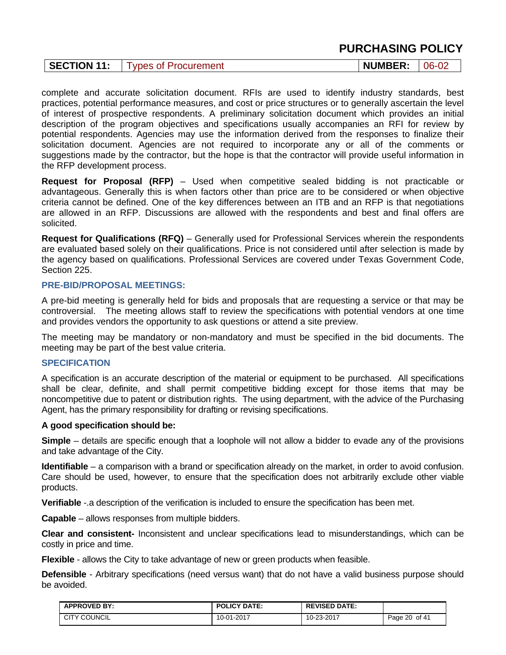complete and accurate solicitation document. RFIs are used to identify industry standards, best practices, potential performance measures, and cost or price structures or to generally ascertain the level of interest of prospective respondents. A preliminary solicitation document which provides an initial description of the program objectives and specifications usually accompanies an RFI for review by potential respondents. Agencies may use the information derived from the responses to finalize their solicitation document. Agencies are not required to incorporate any or all of the comments or suggestions made by the contractor, but the hope is that the contractor will provide useful information in the RFP development process.

**Request for Proposal (RFP)** – Used when competitive sealed bidding is not practicable or advantageous. Generally this is when factors other than price are to be considered or when objective criteria cannot be defined. One of the key differences between an ITB and an RFP is that negotiations are allowed in an RFP. Discussions are allowed with the respondents and best and final offers are solicited.

**Request for Qualifications (RFQ)** – Generally used for Professional Services wherein the respondents are evaluated based solely on their qualifications. Price is not considered until after selection is made by the agency based on qualifications. Professional Services are covered under Texas Government Code, Section 225.

### **PRE-BID/PROPOSAL MEETINGS:**

A pre-bid meeting is generally held for bids and proposals that are requesting a service or that may be controversial. The meeting allows staff to review the specifications with potential vendors at one time and provides vendors the opportunity to ask questions or attend a site preview.

The meeting may be mandatory or non-mandatory and must be specified in the bid documents. The meeting may be part of the best value criteria.

### **SPECIFICATION**

A specification is an accurate description of the material or equipment to be purchased. All specifications shall be clear, definite, and shall permit competitive bidding except for those items that may be noncompetitive due to patent or distribution rights. The using department, with the advice of the Purchasing Agent, has the primary responsibility for drafting or revising specifications.

### **A good specification should be:**

**Simple** – details are specific enough that a loophole will not allow a bidder to evade any of the provisions and take advantage of the City.

**Identifiable** – a comparison with a brand or specification already on the market, in order to avoid confusion. Care should be used, however, to ensure that the specification does not arbitrarily exclude other viable products.

**Verifiable** -.a description of the verification is included to ensure the specification has been met.

**Capable** – allows responses from multiple bidders.

**Clear and consistent-** Inconsistent and unclear specifications lead to misunderstandings, which can be costly in price and time.

**Flexible** - allows the City to take advantage of new or green products when feasible.

**Defensible** - Arbitrary specifications (need versus want) that do not have a valid business purpose should be avoided.

| <b>APPROVED BY:</b> | <b>POLICY DATE:</b> | <b>REVISED DATE:</b> |               |
|---------------------|---------------------|----------------------|---------------|
| <b>CITY COUNCIL</b> | 10-01-2017          | 10-23-2017           | Page 20 of 41 |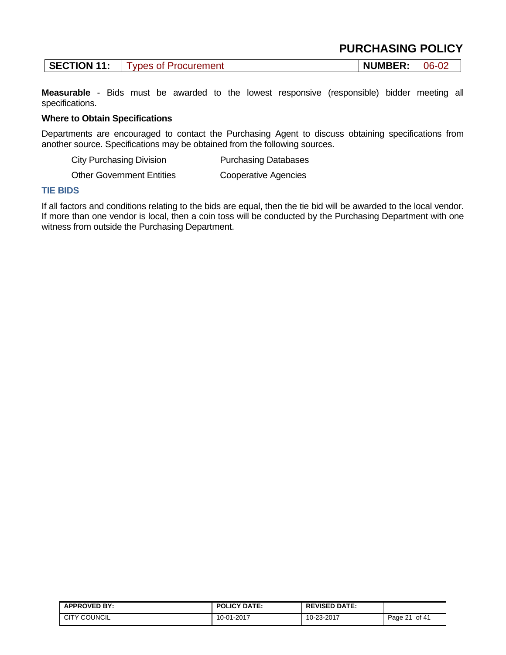| <b>PURCHASING POLICY</b> |  |
|--------------------------|--|
|--------------------------|--|

| <b>SECTION 11:</b><br><b>NUMBER:</b><br><b>Types of Procurement</b> | $06-02$ |
|---------------------------------------------------------------------|---------|
|---------------------------------------------------------------------|---------|

**Measurable** - Bids must be awarded to the lowest responsive (responsible) bidder meeting all specifications.

### **Where to Obtain Specifications**

Departments are encouraged to contact the Purchasing Agent to discuss obtaining specifications from another source. Specifications may be obtained from the following sources.

City Purchasing Division **Purchasing Databases** 

Other Government Entities Cooperative Agencies

#### **TIE BIDS**

If all factors and conditions relating to the bids are equal, then the tie bid will be awarded to the local vendor. If more than one vendor is local, then a coin toss will be conducted by the Purchasing Department with one witness from outside the Purchasing Department.

| <b>APPROVED BY:</b> | <b>POLICY DATE:</b> | <b>REVISED DATE:</b> |                 |
|---------------------|---------------------|----------------------|-----------------|
| <b>CITY COUNCIL</b> | 10-01-2017          | 10-23-2017           | of 41<br>Page 2 |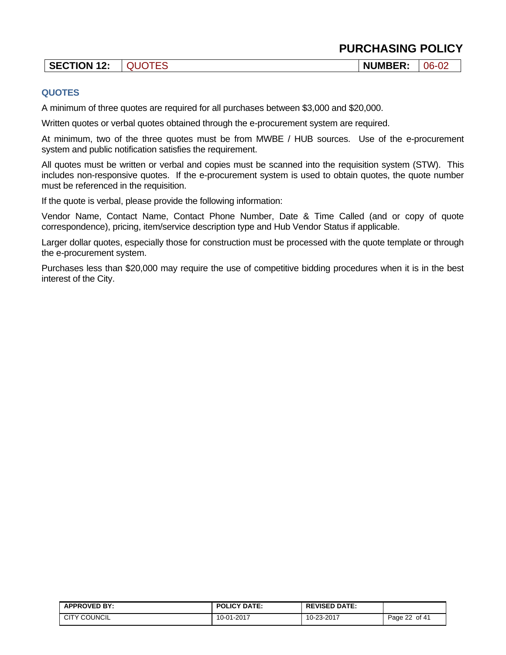| <b>SECTION 12:</b> | <b>QUOTES</b> | <b>NUMBER:</b> | $06 - 02$ |
|--------------------|---------------|----------------|-----------|

### **QUOTES**

A minimum of three quotes are required for all purchases between \$3,000 and \$20,000.

Written quotes or verbal quotes obtained through the e-procurement system are required.

At minimum, two of the three quotes must be from MWBE / HUB sources. Use of the e-procurement system and public notification satisfies the requirement.

All quotes must be written or verbal and copies must be scanned into the requisition system (STW). This includes non-responsive quotes. If the e-procurement system is used to obtain quotes, the quote number must be referenced in the requisition.

If the quote is verbal, please provide the following information:

Vendor Name, Contact Name, Contact Phone Number, Date & Time Called (and or copy of quote correspondence), pricing, item/service description type and Hub Vendor Status if applicable.

Larger dollar quotes, especially those for construction must be processed with the quote template or through the e-procurement system.

Purchases less than \$20,000 may require the use of competitive bidding procedures when it is in the best interest of the City.

| <b>APPROVED BY:</b> | <b>POLICY DATE:</b> | <b>REVISED DATE:</b> |                                            |
|---------------------|---------------------|----------------------|--------------------------------------------|
| <b>CITY COUNCIL</b> | 10-01-2017          | 10-23-2017           | of 41<br>$\sim$<br>$P$ age $\angle$<br>-22 |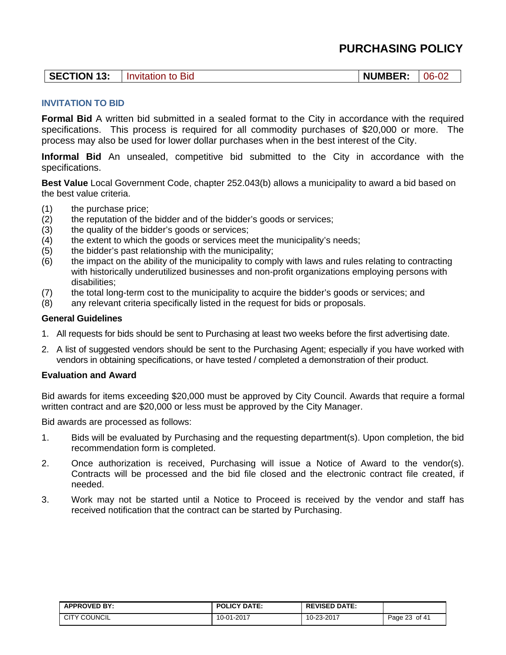| <b>SECTION 13:</b> | Invitation to Bid | <b>NUMBER:</b> | $-06 - 02$ |
|--------------------|-------------------|----------------|------------|
|--------------------|-------------------|----------------|------------|

### **INVITATION TO BID**

**Formal Bid** A written bid submitted in a sealed format to the City in accordance with the required specifications. This process is required for all commodity purchases of \$20,000 or more. The process may also be used for lower dollar purchases when in the best interest of the City.

**Informal Bid** An unsealed, competitive bid submitted to the City in accordance with the specifications.

**Best Value** Local Government Code, chapter 252.043(b) allows a municipality to award a bid based on the best value criteria.

- (1) the purchase price;
- (2) the reputation of the bidder and of the bidder's goods or services;
- (3) the quality of the bidder's goods or services;
- (4) the extent to which the goods or services meet the municipality's needs;
- (5) the bidder's past relationship with the municipality;
- (6) the impact on the ability of the municipality to comply with laws and rules relating to contracting with historically underutilized businesses and non-profit organizations employing persons with disabilities;
- (7) the total long-term cost to the municipality to acquire the bidder's goods or services; and
- (8) any relevant criteria specifically listed in the request for bids or proposals.

### **General Guidelines**

- 1. All requests for bids should be sent to Purchasing at least two weeks before the first advertising date.
- 2. A list of suggested vendors should be sent to the Purchasing Agent; especially if you have worked with vendors in obtaining specifications, or have tested / completed a demonstration of their product.

### **Evaluation and Award**

Bid awards for items exceeding \$20,000 must be approved by City Council. Awards that require a formal written contract and are \$20,000 or less must be approved by the City Manager.

Bid awards are processed as follows:

- 1. Bids will be evaluated by Purchasing and the requesting department(s). Upon completion, the bid recommendation form is completed.
- 2. Once authorization is received, Purchasing will issue a Notice of Award to the vendor(s). Contracts will be processed and the bid file closed and the electronic contract file created, if needed.
- 3. Work may not be started until a Notice to Proceed is received by the vendor and staff has received notification that the contract can be started by Purchasing.

| <b>APPROVED BY:</b> | <b>POLICY DATE:</b> | <b>REVISED DATE:</b> |                  |
|---------------------|---------------------|----------------------|------------------|
| <b>CITY COUNCIL</b> | 10-01-2017          | 10-23-2017           | of 41<br>Page 23 |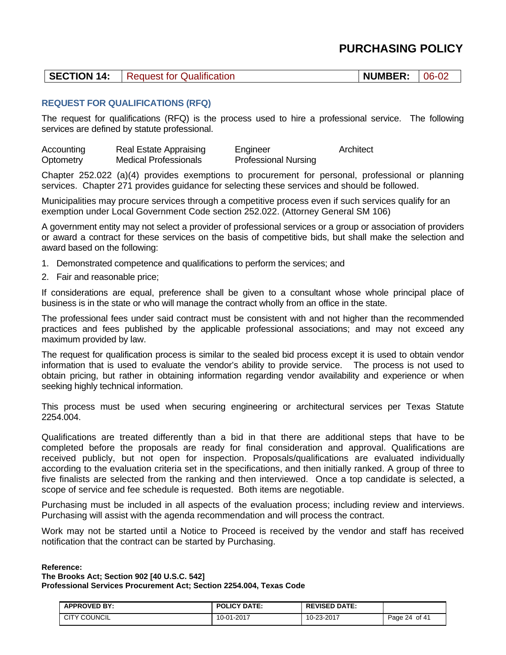|  | <b>SECTION 14:</b> Request for Qualification | $\vert$ NUMBER: $\vert$ 06-02 |  |
|--|----------------------------------------------|-------------------------------|--|
|--|----------------------------------------------|-------------------------------|--|

### **REQUEST FOR QUALIFICATIONS (RFQ)**

The request for qualifications (RFQ) is the process used to hire a professional service. The following services are defined by statute professional.

Accounting Real Estate Appraising Engineer Architect Optometry Medical Professionals Professional Nursing

Chapter 252.022 (a)(4) provides exemptions to procurement for personal, professional or planning services. Chapter 271 provides guidance for selecting these services and should be followed.

Municipalities may procure services through a competitive process even if such services qualify for an exemption under Local Government Code section 252.022. (Attorney General SM 106)

A government entity may not select a provider of professional services or a group or association of providers or award a contract for these services on the basis of competitive bids, but shall make the selection and award based on the following:

- 1. Demonstrated competence and qualifications to perform the services; and
- 2. Fair and reasonable price;

If considerations are equal, preference shall be given to a consultant whose whole principal place of business is in the state or who will manage the contract wholly from an office in the state.

The professional fees under said contract must be consistent with and not higher than the recommended practices and fees published by the applicable professional associations; and may not exceed any maximum provided by law.

The request for qualification process is similar to the sealed bid process except it is used to obtain vendor information that is used to evaluate the vendor's ability to provide service. The process is not used to obtain pricing, but rather in obtaining information regarding vendor availability and experience or when seeking highly technical information.

This process must be used when securing engineering or architectural services per Texas Statute 2254.004.

Qualifications are treated differently than a bid in that there are additional steps that have to be completed before the proposals are ready for final consideration and approval. Qualifications are received publicly, but not open for inspection. Proposals/qualifications are evaluated individually according to the evaluation criteria set in the specifications, and then initially ranked. A group of three to five finalists are selected from the ranking and then interviewed. Once a top candidate is selected, a scope of service and fee schedule is requested. Both items are negotiable.

Purchasing must be included in all aspects of the evaluation process; including review and interviews. Purchasing will assist with the agenda recommendation and will process the contract.

Work may not be started until a Notice to Proceed is received by the vendor and staff has received notification that the contract can be started by Purchasing.

#### **Reference:**

**The Brooks Act; Section 902 [40 U.S.C. 542] Professional Services Procurement Act; Section 2254.004, Texas Code** 

| <b>APPROVED BY:</b> | <b>POLICY DATE:</b> | <b>REVISED DATE:</b> |               |
|---------------------|---------------------|----------------------|---------------|
| <b>CITY COUNCIL</b> | 10-01-2017          | 10-23-2017           | Page 24 of 41 |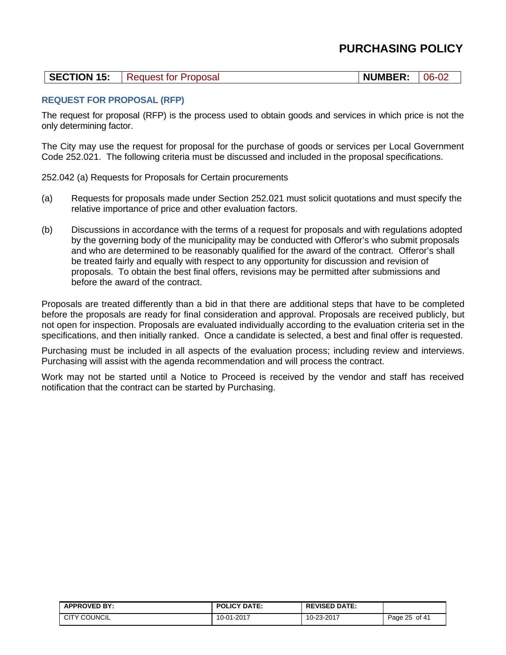| <b>SECTION 15:</b><br><b>NUMBER: 06-02</b><br>Request for Proposal |  |
|--------------------------------------------------------------------|--|
|--------------------------------------------------------------------|--|

### **REQUEST FOR PROPOSAL (RFP)**

The request for proposal (RFP) is the process used to obtain goods and services in which price is not the only determining factor.

The City may use the request for proposal for the purchase of goods or services per Local Government Code 252.021. The following criteria must be discussed and included in the proposal specifications.

252.042 (a) Requests for Proposals for Certain procurements

- (a) Requests for proposals made under Section 252.021 must solicit quotations and must specify the relative importance of price and other evaluation factors.
- (b) Discussions in accordance with the terms of a request for proposals and with regulations adopted by the governing body of the municipality may be conducted with Offeror's who submit proposals and who are determined to be reasonably qualified for the award of the contract. Offeror's shall be treated fairly and equally with respect to any opportunity for discussion and revision of proposals. To obtain the best final offers, revisions may be permitted after submissions and before the award of the contract.

Proposals are treated differently than a bid in that there are additional steps that have to be completed before the proposals are ready for final consideration and approval. Proposals are received publicly, but not open for inspection. Proposals are evaluated individually according to the evaluation criteria set in the specifications, and then initially ranked. Once a candidate is selected, a best and final offer is requested.

Purchasing must be included in all aspects of the evaluation process; including review and interviews. Purchasing will assist with the agenda recommendation and will process the contract.

Work may not be started until a Notice to Proceed is received by the vendor and staff has received notification that the contract can be started by Purchasing.

| <b>APPROVED BY:</b> | <b>POLICY DATE:</b> | <b>REVISED DATE:</b> |                    |
|---------------------|---------------------|----------------------|--------------------|
| <b>CITY COUNCIL</b> | 10-01-2017          | 10-23-2017           | of 41<br>Page 25 u |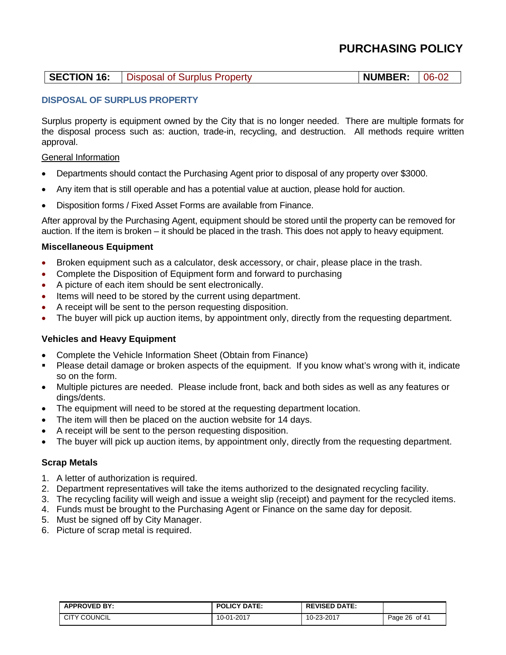### **SECTION 16:** Disposal of Surplus Property **NUMBER:** 06-02

### **DISPOSAL OF SURPLUS PROPERTY**

Surplus property is equipment owned by the City that is no longer needed. There are multiple formats for the disposal process such as: auction, trade-in, recycling, and destruction. All methods require written approval.

### General Information

- Departments should contact the Purchasing Agent prior to disposal of any property over \$3000.
- Any item that is still operable and has a potential value at auction, please hold for auction.
- Disposition forms / Fixed Asset Forms are available from Finance.

After approval by the Purchasing Agent, equipment should be stored until the property can be removed for auction. If the item is broken – it should be placed in the trash. This does not apply to heavy equipment.

### **Miscellaneous Equipment**

- Broken equipment such as a calculator, desk accessory, or chair, please place in the trash.
- Complete the Disposition of Equipment form and forward to purchasing
- A picture of each item should be sent electronically.
- Items will need to be stored by the current using department.
- A receipt will be sent to the person requesting disposition.
- The buyer will pick up auction items, by appointment only, directly from the requesting department.

### **Vehicles and Heavy Equipment**

- Complete the Vehicle Information Sheet (Obtain from Finance)
- Please detail damage or broken aspects of the equipment. If you know what's wrong with it, indicate so on the form.
- Multiple pictures are needed. Please include front, back and both sides as well as any features or dings/dents.
- The equipment will need to be stored at the requesting department location.
- The item will then be placed on the auction website for 14 days.
- A receipt will be sent to the person requesting disposition.
- The buyer will pick up auction items, by appointment only, directly from the requesting department.

### **Scrap Metals**

- 1. A letter of authorization is required.
- 2. Department representatives will take the items authorized to the designated recycling facility.
- 3. The recycling facility will weigh and issue a weight slip (receipt) and payment for the recycled items.
- 4. Funds must be brought to the Purchasing Agent or Finance on the same day for deposit.
- 5. Must be signed off by City Manager.
- 6. Picture of scrap metal is required.

| <b>APPROVED BY:</b> | <b>POLICY DATE:</b> | <b>REVISED DATE:</b> |                           |
|---------------------|---------------------|----------------------|---------------------------|
| <b>CITY COUNCIL</b> | 10-01-2017          | 10-23-2017           | of $4^{\circ}$<br>Page 26 |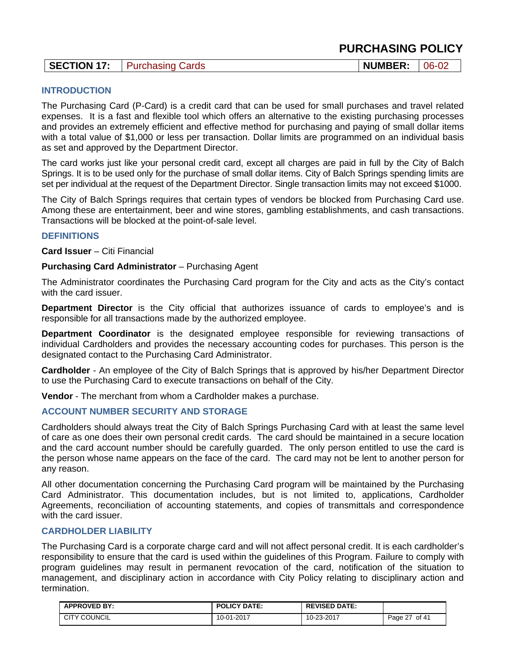| <b>SECTION 17:</b><br><b>NUMBER:</b><br>$06 - 02$<br><b>Purchasing Cards</b> |
|------------------------------------------------------------------------------|
|------------------------------------------------------------------------------|

### **INTRODUCTION**

The Purchasing Card (P-Card) is a credit card that can be used for small purchases and travel related expenses. It is a fast and flexible tool which offers an alternative to the existing purchasing processes and provides an extremely efficient and effective method for purchasing and paying of small dollar items with a total value of \$1,000 or less per transaction. Dollar limits are programmed on an individual basis as set and approved by the Department Director.

The card works just like your personal credit card, except all charges are paid in full by the City of Balch Springs. It is to be used only for the purchase of small dollar items. City of Balch Springs spending limits are set per individual at the request of the Department Director. Single transaction limits may not exceed \$1000.

The City of Balch Springs requires that certain types of vendors be blocked from Purchasing Card use. Among these are entertainment, beer and wine stores, gambling establishments, and cash transactions. Transactions will be blocked at the point-of-sale level.

### **DEFINITIONS**

**Card Issuer** – Citi Financial

**Purchasing Card Administrator** – Purchasing Agent

The Administrator coordinates the Purchasing Card program for the City and acts as the City's contact with the card issuer.

**Department Director** is the City official that authorizes issuance of cards to employee's and is responsible for all transactions made by the authorized employee.

**Department Coordinator** is the designated employee responsible for reviewing transactions of individual Cardholders and provides the necessary accounting codes for purchases. This person is the designated contact to the Purchasing Card Administrator.

**Cardholder** - An employee of the City of Balch Springs that is approved by his/her Department Director to use the Purchasing Card to execute transactions on behalf of the City.

**Vendor** - The merchant from whom a Cardholder makes a purchase.

### **ACCOUNT NUMBER SECURITY AND STORAGE**

Cardholders should always treat the City of Balch Springs Purchasing Card with at least the same level of care as one does their own personal credit cards. The card should be maintained in a secure location and the card account number should be carefully guarded. The only person entitled to use the card is the person whose name appears on the face of the card. The card may not be lent to another person for any reason.

All other documentation concerning the Purchasing Card program will be maintained by the Purchasing Card Administrator. This documentation includes, but is not limited to, applications, Cardholder Agreements, reconciliation of accounting statements, and copies of transmittals and correspondence with the card issuer.

### **CARDHOLDER LIABILITY**

The Purchasing Card is a corporate charge card and will not affect personal credit. It is each cardholder's responsibility to ensure that the card is used within the guidelines of this Program. Failure to comply with program guidelines may result in permanent revocation of the card, notification of the situation to management, and disciplinary action in accordance with City Policy relating to disciplinary action and termination.

| <b>APPROVED BY:</b> | <b>POLICY DATE:</b> | <b>REVISED DATE:</b> |                  |
|---------------------|---------------------|----------------------|------------------|
| <b>CITY COUNCIL</b> | 10-01-2017          | 10-23-2017           | of 41<br>Page 27 |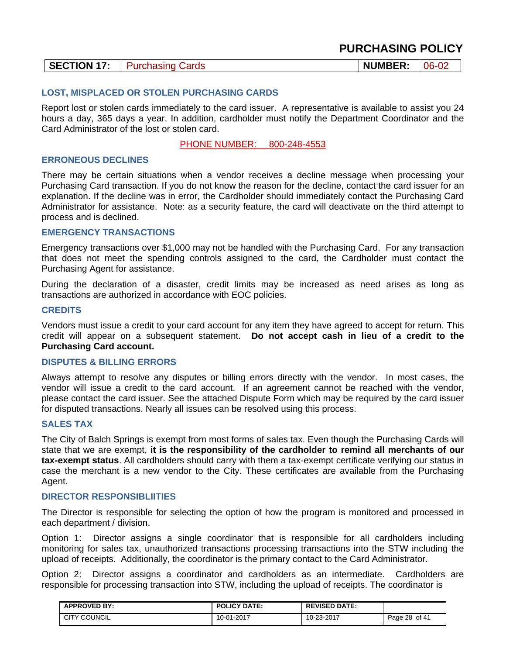|--|

### **LOST, MISPLACED OR STOLEN PURCHASING CARDS**

Report lost or stolen cards immediately to the card issuer. A representative is available to assist you 24 hours a day, 365 days a year. In addition, cardholder must notify the Department Coordinator and the Card Administrator of the lost or stolen card.

PHONE NUMBER: 800-248-4553

### **ERRONEOUS DECLINES**

There may be certain situations when a vendor receives a decline message when processing your Purchasing Card transaction. If you do not know the reason for the decline, contact the card issuer for an explanation. If the decline was in error, the Cardholder should immediately contact the Purchasing Card Administrator for assistance. Note: as a security feature, the card will deactivate on the third attempt to process and is declined.

### **EMERGENCY TRANSACTIONS**

Emergency transactions over \$1,000 may not be handled with the Purchasing Card. For any transaction that does not meet the spending controls assigned to the card, the Cardholder must contact the Purchasing Agent for assistance.

During the declaration of a disaster, credit limits may be increased as need arises as long as transactions are authorized in accordance with EOC policies.

### **CREDITS**

Vendors must issue a credit to your card account for any item they have agreed to accept for return. This credit will appear on a subsequent statement. **Do not accept cash in lieu of a credit to the Purchasing Card account.** 

#### **DISPUTES & BILLING ERRORS**

Always attempt to resolve any disputes or billing errors directly with the vendor. In most cases, the vendor will issue a credit to the card account. If an agreement cannot be reached with the vendor, please contact the card issuer. See the attached Dispute Form which may be required by the card issuer for disputed transactions. Nearly all issues can be resolved using this process.

### **SALES TAX**

The City of Balch Springs is exempt from most forms of sales tax. Even though the Purchasing Cards will state that we are exempt, **it is the responsibility of the cardholder to remind all merchants of our tax-exempt status**. All cardholders should carry with them a tax-exempt certificate verifying our status in case the merchant is a new vendor to the City. These certificates are available from the Purchasing Agent.

#### **DIRECTOR RESPONSIBLIITIES**

The Director is responsible for selecting the option of how the program is monitored and processed in each department / division.

Option 1: Director assigns a single coordinator that is responsible for all cardholders including monitoring for sales tax, unauthorized transactions processing transactions into the STW including the upload of receipts. Additionally, the coordinator is the primary contact to the Card Administrator.

Option 2: Director assigns a coordinator and cardholders as an intermediate. Cardholders are responsible for processing transaction into STW, including the upload of receipts. The coordinator is

| <b>APPROVED BY:</b> | <b>POLICY DATE:</b> | <b>REVISED DATE:</b> |               |
|---------------------|---------------------|----------------------|---------------|
| <b>CITY COUNCIL</b> | 10-01-2017          | 10-23-2017           | Page 28 of 41 |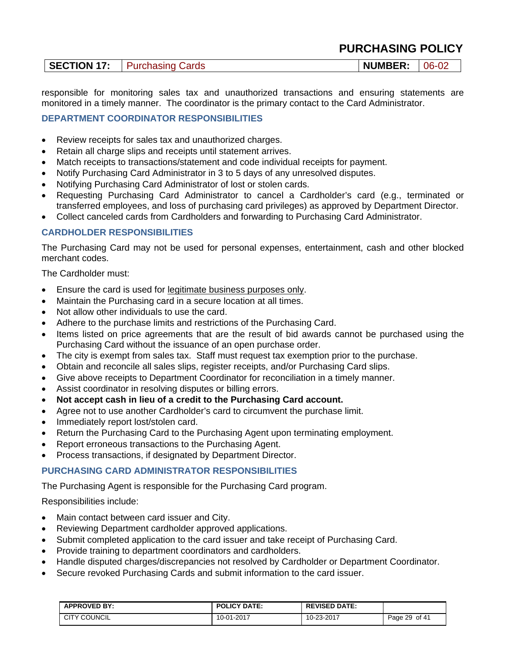| SECTION 17: | <b>Purchasing Cards</b> | <b>NUMBER:</b> | $ 06-02$ |
|-------------|-------------------------|----------------|----------|
|-------------|-------------------------|----------------|----------|

responsible for monitoring sales tax and unauthorized transactions and ensuring statements are monitored in a timely manner. The coordinator is the primary contact to the Card Administrator.

### **DEPARTMENT COORDINATOR RESPONSIBILITIES**

- Review receipts for sales tax and unauthorized charges.
- Retain all charge slips and receipts until statement arrives.
- Match receipts to transactions/statement and code individual receipts for payment.
- Notify Purchasing Card Administrator in 3 to 5 days of any unresolved disputes.
- Notifying Purchasing Card Administrator of lost or stolen cards.
- Requesting Purchasing Card Administrator to cancel a Cardholder's card (e.g., terminated or transferred employees, and loss of purchasing card privileges) as approved by Department Director.
- Collect canceled cards from Cardholders and forwarding to Purchasing Card Administrator.

### **CARDHOLDER RESPONSIBILITIES**

The Purchasing Card may not be used for personal expenses, entertainment, cash and other blocked merchant codes.

The Cardholder must:

- Ensure the card is used for legitimate business purposes only.
- Maintain the Purchasing card in a secure location at all times.
- Not allow other individuals to use the card.
- Adhere to the purchase limits and restrictions of the Purchasing Card.
- Items listed on price agreements that are the result of bid awards cannot be purchased using the Purchasing Card without the issuance of an open purchase order.
- The city is exempt from sales tax. Staff must request tax exemption prior to the purchase.
- Obtain and reconcile all sales slips, register receipts, and/or Purchasing Card slips.
- Give above receipts to Department Coordinator for reconciliation in a timely manner.
- Assist coordinator in resolving disputes or billing errors.
- **Not accept cash in lieu of a credit to the Purchasing Card account.**
- Agree not to use another Cardholder's card to circumvent the purchase limit.
- Immediately report lost/stolen card.
- Return the Purchasing Card to the Purchasing Agent upon terminating employment.
- Report erroneous transactions to the Purchasing Agent.
- Process transactions, if designated by Department Director.

### **PURCHASING CARD ADMINISTRATOR RESPONSIBILITIES**

The Purchasing Agent is responsible for the Purchasing Card program.

Responsibilities include:

- Main contact between card issuer and City.
- Reviewing Department cardholder approved applications.
- Submit completed application to the card issuer and take receipt of Purchasing Card.
- Provide training to department coordinators and cardholders.
- Handle disputed charges/discrepancies not resolved by Cardholder or Department Coordinator.
- Secure revoked Purchasing Cards and submit information to the card issuer.

| <b>APPROVED BY:</b> | <b>POLICY DATE:</b> | <b>REVISED DATE:</b> |                  |
|---------------------|---------------------|----------------------|------------------|
| <b>CITY COUNCIL</b> | 10-01-2017          | 10-23-2017           | Page 29<br>of 41 |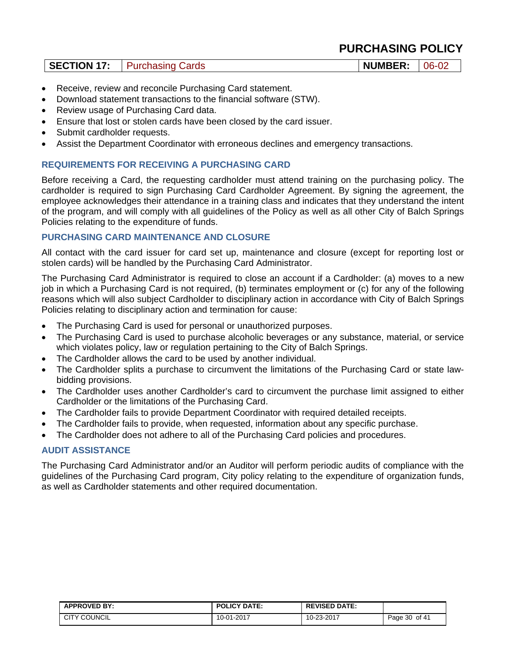| SECTION 17: | <b>Purchasing Cards</b> | <b>NUMBER: 06-02</b> |  |
|-------------|-------------------------|----------------------|--|
|-------------|-------------------------|----------------------|--|

- Receive, review and reconcile Purchasing Card statement.
- Download statement transactions to the financial software (STW).
- Review usage of Purchasing Card data.
- Ensure that lost or stolen cards have been closed by the card issuer.
- Submit cardholder requests.
- Assist the Department Coordinator with erroneous declines and emergency transactions.

### **REQUIREMENTS FOR RECEIVING A PURCHASING CARD**

Before receiving a Card, the requesting cardholder must attend training on the purchasing policy. The cardholder is required to sign Purchasing Card Cardholder Agreement. By signing the agreement, the employee acknowledges their attendance in a training class and indicates that they understand the intent of the program, and will comply with all guidelines of the Policy as well as all other City of Balch Springs Policies relating to the expenditure of funds.

### **PURCHASING CARD MAINTENANCE AND CLOSURE**

All contact with the card issuer for card set up, maintenance and closure (except for reporting lost or stolen cards) will be handled by the Purchasing Card Administrator.

The Purchasing Card Administrator is required to close an account if a Cardholder: (a) moves to a new job in which a Purchasing Card is not required, (b) terminates employment or (c) for any of the following reasons which will also subject Cardholder to disciplinary action in accordance with City of Balch Springs Policies relating to disciplinary action and termination for cause:

- The Purchasing Card is used for personal or unauthorized purposes.
- The Purchasing Card is used to purchase alcoholic beverages or any substance, material, or service which violates policy, law or regulation pertaining to the City of Balch Springs.
- The Cardholder allows the card to be used by another individual.
- The Cardholder splits a purchase to circumvent the limitations of the Purchasing Card or state lawbidding provisions.
- The Cardholder uses another Cardholder's card to circumvent the purchase limit assigned to either Cardholder or the limitations of the Purchasing Card.
- The Cardholder fails to provide Department Coordinator with required detailed receipts.
- The Cardholder fails to provide, when requested, information about any specific purchase.
- The Cardholder does not adhere to all of the Purchasing Card policies and procedures.

### **AUDIT ASSISTANCE**

The Purchasing Card Administrator and/or an Auditor will perform periodic audits of compliance with the guidelines of the Purchasing Card program, City policy relating to the expenditure of organization funds, as well as Cardholder statements and other required documentation.

| <b>APPROVED BY:</b> | <b>POLICY DATE:</b> | <b>REVISED DATE:</b> |                  |
|---------------------|---------------------|----------------------|------------------|
| <b>CITY COUNCIL</b> | 10-01-2017          | 10-23-2017           | of 41<br>Page 30 |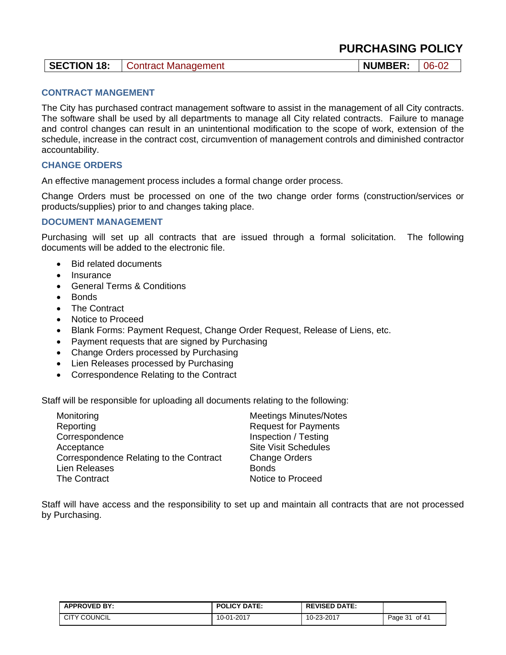| <b>SECTION 18:</b><br><b>NUMBER:</b><br>06-02<br>Contract Management |  |
|----------------------------------------------------------------------|--|
|----------------------------------------------------------------------|--|

### **CONTRACT MANGEMENT**

The City has purchased contract management software to assist in the management of all City contracts. The software shall be used by all departments to manage all City related contracts. Failure to manage and control changes can result in an unintentional modification to the scope of work, extension of the schedule, increase in the contract cost, circumvention of management controls and diminished contractor accountability.

### **CHANGE ORDERS**

An effective management process includes a formal change order process.

Change Orders must be processed on one of the two change order forms (construction/services or products/supplies) prior to and changes taking place.

### **DOCUMENT MANAGEMENT**

Purchasing will set up all contracts that are issued through a formal solicitation. The following documents will be added to the electronic file.

- Bid related documents
- $\bullet$  Insurance
- General Terms & Conditions
- **Bonds**
- The Contract
- Notice to Proceed
- Blank Forms: Payment Request, Change Order Request, Release of Liens, etc.
- Payment requests that are signed by Purchasing
- Change Orders processed by Purchasing
- Lien Releases processed by Purchasing
- Correspondence Relating to the Contract

Staff will be responsible for uploading all documents relating to the following:

| Monitoring                              | <b>Meetings Minutes/Notes</b> |
|-----------------------------------------|-------------------------------|
| Reporting                               | <b>Request for Payments</b>   |
| Correspondence                          | Inspection / Testing          |
| Acceptance                              | <b>Site Visit Schedules</b>   |
| Correspondence Relating to the Contract | <b>Change Orders</b>          |
| Lien Releases                           | <b>Bonds</b>                  |
| The Contract                            | Notice to Proceed             |

Staff will have access and the responsibility to set up and maintain all contracts that are not processed by Purchasing.

| <b>APPROVED BY:</b> | <b>POLICY DATE:</b> | <b>REVISED DATE:</b> |                  |
|---------------------|---------------------|----------------------|------------------|
| <b>CITY COUNCIL</b> | 10-01-2017          | 10-23-2017           | of 41<br>Page 31 |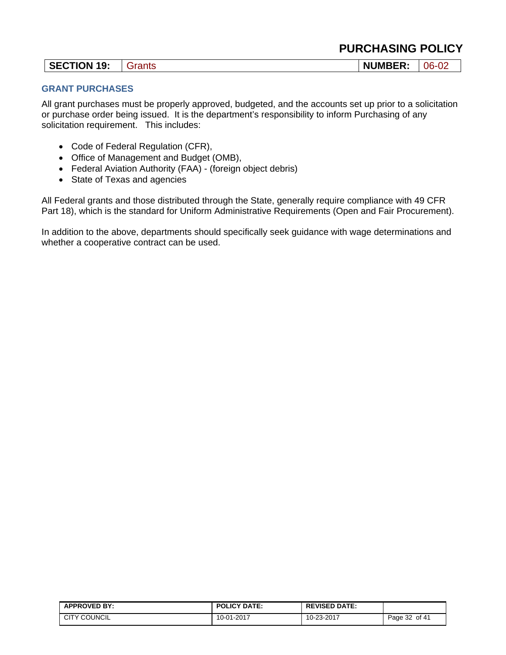|  |  |  |  |  | <b>PURCHASING POLICY</b> |
|--|--|--|--|--|--------------------------|
|--|--|--|--|--|--------------------------|

| <b>SECTION 19:</b> | Grants | <b>NUMBER:</b> | $06 - 02$ |
|--------------------|--------|----------------|-----------|
|--------------------|--------|----------------|-----------|

### **GRANT PURCHASES**

All grant purchases must be properly approved, budgeted, and the accounts set up prior to a solicitation or purchase order being issued. It is the department's responsibility to inform Purchasing of any solicitation requirement. This includes:

- Code of Federal Regulation (CFR),
- Office of Management and Budget (OMB),
- Federal Aviation Authority (FAA) (foreign object debris)
- State of Texas and agencies

All Federal grants and those distributed through the State, generally require compliance with 49 CFR Part 18), which is the standard for Uniform Administrative Requirements (Open and Fair Procurement).

In addition to the above, departments should specifically seek guidance with wage determinations and whether a cooperative contract can be used.

| <b>APPROVED BY:</b> | <b>POLICY DATE:</b> | <b>REVISED DATE:</b> |                  |
|---------------------|---------------------|----------------------|------------------|
| <b>CITY COUNCIL</b> | 10-01-2017          | 10-23-2017           | of 41<br>Page 32 |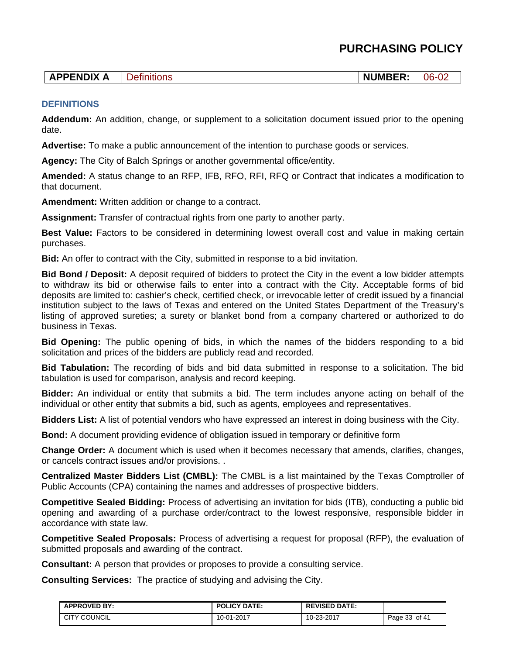| <b>APPENDIX</b> | ם נ<br>בחסוי: | <b>NUMBER:</b> | $\mathbf{r}$<br>06<br>VZ. |
|-----------------|---------------|----------------|---------------------------|
|-----------------|---------------|----------------|---------------------------|

### **DEFINITIONS**

**Addendum:** An addition, change, or supplement to a solicitation document issued prior to the opening date.

**Advertise:** To make a public announcement of the intention to purchase goods or services.

**Agency:** The City of Balch Springs or another governmental office/entity.

**Amended:** A status change to an RFP, IFB, RFO, RFI, RFQ or Contract that indicates a modification to that document.

**Amendment:** Written addition or change to a contract.

**Assignment:** Transfer of contractual rights from one party to another party.

**Best Value:** Factors to be considered in determining lowest overall cost and value in making certain purchases.

**Bid:** An offer to contract with the City, submitted in response to a bid invitation.

**Bid Bond / Deposit:** A deposit required of bidders to protect the City in the event a low bidder attempts to withdraw its bid or otherwise fails to enter into a contract with the City. Acceptable forms of bid deposits are limited to: cashier's check, certified check, or irrevocable letter of credit issued by a financial institution subject to the laws of Texas and entered on the United States Department of the Treasury's listing of approved sureties; a surety or blanket bond from a company chartered or authorized to do business in Texas.

**Bid Opening:** The public opening of bids, in which the names of the bidders responding to a bid solicitation and prices of the bidders are publicly read and recorded.

**Bid Tabulation:** The recording of bids and bid data submitted in response to a solicitation. The bid tabulation is used for comparison, analysis and record keeping.

**Bidder:** An individual or entity that submits a bid. The term includes anyone acting on behalf of the individual or other entity that submits a bid, such as agents, employees and representatives.

**Bidders List:** A list of potential vendors who have expressed an interest in doing business with the City.

**Bond:** A document providing evidence of obligation issued in temporary or definitive form

**Change Order:** A document which is used when it becomes necessary that amends, clarifies, changes, or cancels contract issues and/or provisions. .

**Centralized Master Bidders List (CMBL):** The CMBL is a list maintained by the Texas Comptroller of Public Accounts (CPA) containing the names and addresses of prospective bidders.

**Competitive Sealed Bidding:** Process of advertising an invitation for bids (ITB), conducting a public bid opening and awarding of a purchase order/contract to the lowest responsive, responsible bidder in accordance with state law.

**Competitive Sealed Proposals:** Process of advertising a request for proposal (RFP), the evaluation of submitted proposals and awarding of the contract.

**Consultant:** A person that provides or proposes to provide a consulting service.

**Consulting Services:** The practice of studying and advising the City.

| <b>APPROVED BY:</b> | <b>POLICY DATE:</b> | <b>REVISED DATE:</b> |               |
|---------------------|---------------------|----------------------|---------------|
| <b>CITY COUNCIL</b> | 10-01-2017          | 10-23-2017           | Page 33 of 41 |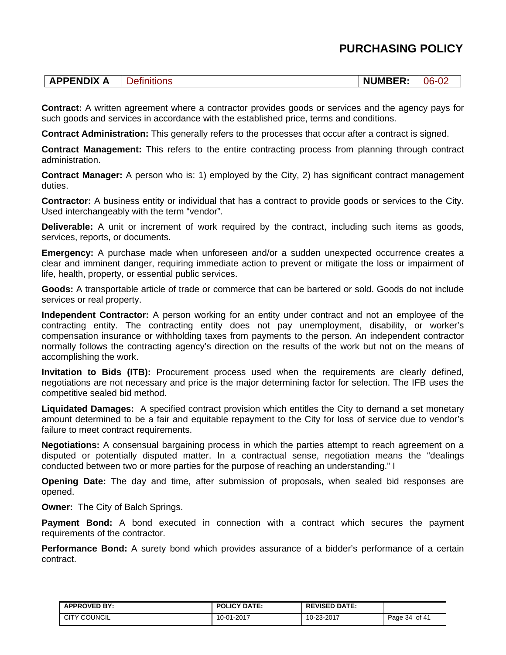| INIV<br>и<br>- | . נ<br>ีเข<br>_______ | --<br>N<br>JN<br>. ت<br>. | Ŋ۴<br>.<br>the contract of the contract of |
|----------------|-----------------------|---------------------------|--------------------------------------------|
|                |                       |                           |                                            |

**Contract:** A written agreement where a contractor provides goods or services and the agency pays for such goods and services in accordance with the established price, terms and conditions.

**Contract Administration:** This generally refers to the processes that occur after a contract is signed.

**Contract Management:** This refers to the entire contracting process from planning through contract administration.

**Contract Manager:** A person who is: 1) employed by the City, 2) has significant contract management duties.

**Contractor:** A business entity or individual that has a contract to provide goods or services to the City. Used interchangeably with the term "vendor".

**Deliverable:** A unit or increment of work required by the contract, including such items as goods, services, reports, or documents.

**Emergency:** A purchase made when unforeseen and/or a sudden unexpected occurrence creates a clear and imminent danger, requiring immediate action to prevent or mitigate the loss or impairment of life, health, property, or essential public services.

**Goods:** A transportable article of trade or commerce that can be bartered or sold. Goods do not include services or real property.

**Independent Contractor:** A person working for an entity under contract and not an employee of the contracting entity. The contracting entity does not pay unemployment, disability, or worker's compensation insurance or withholding taxes from payments to the person. An independent contractor normally follows the contracting agency's direction on the results of the work but not on the means of accomplishing the work.

**Invitation to Bids (ITB):** Procurement process used when the requirements are clearly defined, negotiations are not necessary and price is the major determining factor for selection. The IFB uses the competitive sealed bid method.

**Liquidated Damages:** A specified contract provision which entitles the City to demand a set monetary amount determined to be a fair and equitable repayment to the City for loss of service due to vendor's failure to meet contract requirements.

**Negotiations:** A consensual bargaining process in which the parties attempt to reach agreement on a disputed or potentially disputed matter. In a contractual sense, negotiation means the "dealings conducted between two or more parties for the purpose of reaching an understanding." I

**Opening Date:** The day and time, after submission of proposals, when sealed bid responses are opened.

**Owner:** The City of Balch Springs.

**Payment Bond:** A bond executed in connection with a contract which secures the payment requirements of the contractor.

**Performance Bond:** A surety bond which provides assurance of a bidder's performance of a certain contract.

| <b>APPROVED BY:</b> | <b>POLICY DATE:</b> | <b>REVISED DATE:</b> |               |
|---------------------|---------------------|----------------------|---------------|
| <b>CITY COUNCIL</b> | 10-01-2017          | 10-23-2017           | Page 34 of 41 |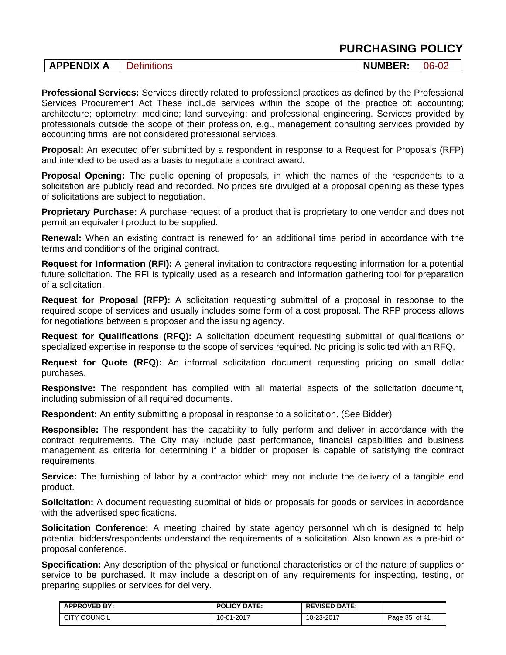| --<br>FNDIX<br><b>JMP</b><br>Nľ<br>06<br>DЦ<br>— LJ<br>יבונ<br>ъ.<br>-n.<br>99 I.C<br>∼.<br>◡▵ |
|------------------------------------------------------------------------------------------------|
|------------------------------------------------------------------------------------------------|

**Professional Services:** Services directly related to professional practices as defined by the Professional Services Procurement Act These include services within the scope of the practice of: accounting; architecture; optometry; medicine; land surveying; and professional engineering. Services provided by professionals outside the scope of their profession, e.g., management consulting services provided by accounting firms, are not considered professional services.

**Proposal:** An executed offer submitted by a respondent in response to a Request for Proposals (RFP) and intended to be used as a basis to negotiate a contract award.

**Proposal Opening:** The public opening of proposals, in which the names of the respondents to a solicitation are publicly read and recorded. No prices are divulged at a proposal opening as these types of solicitations are subject to negotiation.

**Proprietary Purchase:** A purchase request of a product that is proprietary to one vendor and does not permit an equivalent product to be supplied.

**Renewal:** When an existing contract is renewed for an additional time period in accordance with the terms and conditions of the original contract.

**Request for Information (RFI):** A general invitation to contractors requesting information for a potential future solicitation. The RFI is typically used as a research and information gathering tool for preparation of a solicitation.

**Request for Proposal (RFP):** A solicitation requesting submittal of a proposal in response to the required scope of services and usually includes some form of a cost proposal. The RFP process allows for negotiations between a proposer and the issuing agency.

**Request for Qualifications (RFQ):** A solicitation document requesting submittal of qualifications or specialized expertise in response to the scope of services required. No pricing is solicited with an RFQ.

**Request for Quote (RFQ):** An informal solicitation document requesting pricing on small dollar purchases.

**Responsive:** The respondent has complied with all material aspects of the solicitation document, including submission of all required documents.

**Respondent:** An entity submitting a proposal in response to a solicitation. (See Bidder)

**Responsible:** The respondent has the capability to fully perform and deliver in accordance with the contract requirements. The City may include past performance, financial capabilities and business management as criteria for determining if a bidder or proposer is capable of satisfying the contract requirements.

**Service:** The furnishing of labor by a contractor which may not include the delivery of a tangible end product.

**Solicitation:** A document requesting submittal of bids or proposals for goods or services in accordance with the advertised specifications.

**Solicitation Conference:** A meeting chaired by state agency personnel which is designed to help potential bidders/respondents understand the requirements of a solicitation. Also known as a pre-bid or proposal conference.

**Specification:** Any description of the physical or functional characteristics or of the nature of supplies or service to be purchased. It may include a description of any requirements for inspecting, testing, or preparing supplies or services for delivery.

| <b>APPROVED BY:</b> | <b>POLICY DATE:</b> | <b>REVISED DATE:</b> |               |
|---------------------|---------------------|----------------------|---------------|
| <b>CITY COUNCIL</b> | 10-01-2017          | 10-23-2017           | Page 35 of 41 |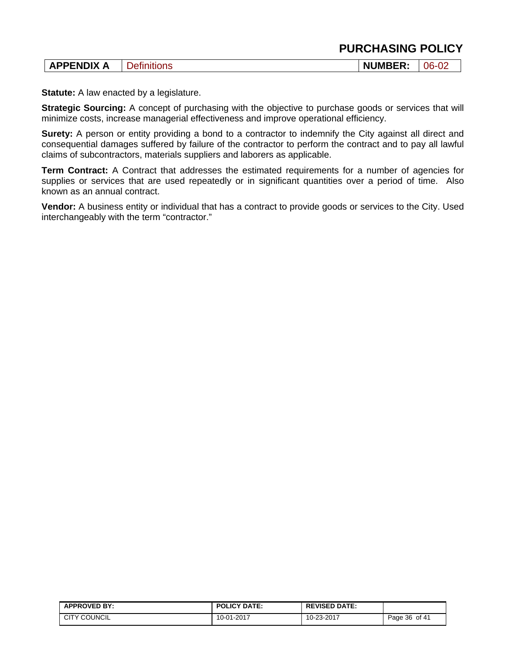| 116<br>ъ.<br>. .<br>71 I C | _______ | <b>PENDIX</b> |  | <b>NUMBER</b> |  |
|----------------------------|---------|---------------|--|---------------|--|
|----------------------------|---------|---------------|--|---------------|--|

**Statute:** A law enacted by a legislature.

**Strategic Sourcing:** A concept of purchasing with the objective to purchase goods or services that will minimize costs, increase managerial effectiveness and improve operational efficiency.

**Surety:** A person or entity providing a bond to a contractor to indemnify the City against all direct and consequential damages suffered by failure of the contractor to perform the contract and to pay all lawful claims of subcontractors, materials suppliers and laborers as applicable.

**Term Contract:** A Contract that addresses the estimated requirements for a number of agencies for supplies or services that are used repeatedly or in significant quantities over a period of time. Also known as an annual contract.

**Vendor:** A business entity or individual that has a contract to provide goods or services to the City. Used interchangeably with the term "contractor."

| <b>APPROVED BY:</b> | <b>POLICY DATE:</b> | <b>REVISED DATE:</b> |               |
|---------------------|---------------------|----------------------|---------------|
| <b>CITY COUNCIL</b> | 10-01-2017          | 10-23-2017           | Page 36 of 41 |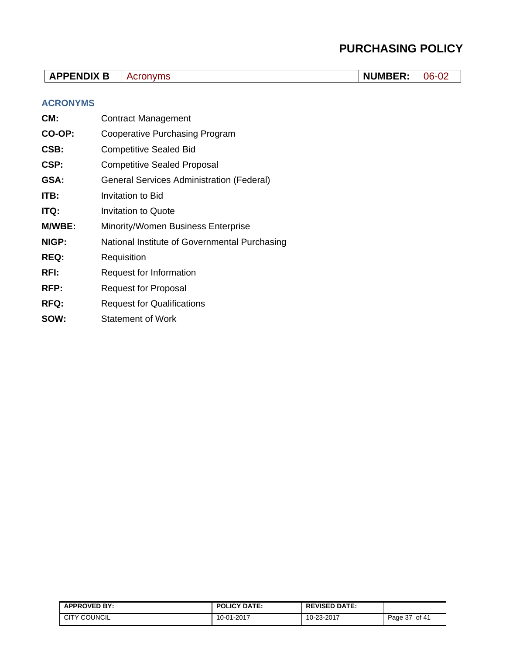| <b>APPENDIX B</b> | Acronyms                                         | <b>NUMBER:</b> | 06-02 |  |
|-------------------|--------------------------------------------------|----------------|-------|--|
| <b>ACRONYMS</b>   |                                                  |                |       |  |
| CM:               | <b>Contract Management</b>                       |                |       |  |
| CO-OP:            | Cooperative Purchasing Program                   |                |       |  |
| CSB:              | <b>Competitive Sealed Bid</b>                    |                |       |  |
| CSP:              | <b>Competitive Sealed Proposal</b>               |                |       |  |
| GSA:              | <b>General Services Administration (Federal)</b> |                |       |  |
| ITB:              | <b>Invitation to Bid</b>                         |                |       |  |
| ITQ:              | <b>Invitation to Quote</b>                       |                |       |  |
| M/WBE:            | <b>Minority/Women Business Enterprise</b>        |                |       |  |
| NIGP:             | National Institute of Governmental Purchasing    |                |       |  |
| <b>REQ:</b>       | Requisition                                      |                |       |  |
| RFI:              | Request for Information                          |                |       |  |
| RFP:              | <b>Request for Proposal</b>                      |                |       |  |
| <b>RFQ:</b>       | <b>Request for Qualifications</b>                |                |       |  |
| SOW:              | <b>Statement of Work</b>                         |                |       |  |

| <b>APPROVED BY:</b> | <b>POLICY DATE:</b> | <b>REVISED DATE:</b> |                             |
|---------------------|---------------------|----------------------|-----------------------------|
| <b>CITY COUNCIL</b> | 10-01-2017          | 10-23-2017           | of 41<br>Page $37 \sqrt{ }$ |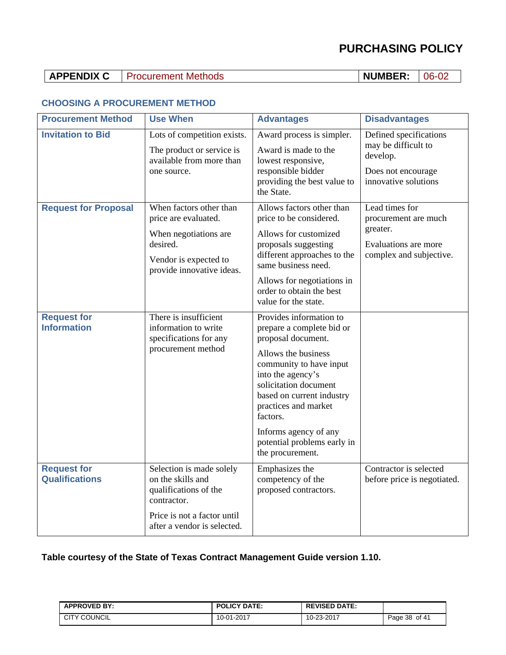## **APPENDIX C** Procurement Methods **NUMBER:** 06-02

### **CHOOSING A PROCUREMENT METHOD**

| <b>Procurement Method</b>                   | <b>Use When</b>                                                                                                                                     | <b>Advantages</b>                                                                                                                                                                                                                                                                                                       | <b>Disadvantages</b>                                                                                    |
|---------------------------------------------|-----------------------------------------------------------------------------------------------------------------------------------------------------|-------------------------------------------------------------------------------------------------------------------------------------------------------------------------------------------------------------------------------------------------------------------------------------------------------------------------|---------------------------------------------------------------------------------------------------------|
| <b>Invitation to Bid</b>                    | Lots of competition exists.<br>The product or service is<br>available from more than<br>one source.                                                 | Award process is simpler.<br>Award is made to the<br>lowest responsive,<br>responsible bidder<br>providing the best value to<br>the State.                                                                                                                                                                              | Defined specifications<br>may be difficult to<br>develop.<br>Does not encourage<br>innovative solutions |
| <b>Request for Proposal</b>                 | When factors other than<br>price are evaluated.<br>When negotiations are<br>desired.<br>Vendor is expected to<br>provide innovative ideas.          | Allows factors other than<br>price to be considered.<br>Allows for customized<br>proposals suggesting<br>different approaches to the<br>same business need.<br>Allows for negotiations in<br>order to obtain the best<br>value for the state.                                                                           | Lead times for<br>procurement are much<br>greater.<br>Evaluations are more<br>complex and subjective.   |
| <b>Request for</b><br><b>Information</b>    | There is insufficient<br>information to write<br>specifications for any<br>procurement method                                                       | Provides information to<br>prepare a complete bid or<br>proposal document.<br>Allows the business<br>community to have input<br>into the agency's<br>solicitation document<br>based on current industry<br>practices and market<br>factors.<br>Informs agency of any<br>potential problems early in<br>the procurement. |                                                                                                         |
| <b>Request for</b><br><b>Qualifications</b> | Selection is made solely<br>on the skills and<br>qualifications of the<br>contractor.<br>Price is not a factor until<br>after a vendor is selected. | Emphasizes the<br>competency of the<br>proposed contractors.                                                                                                                                                                                                                                                            | Contractor is selected<br>before price is negotiated.                                                   |

### **Table courtesy of the State of Texas Contract Management Guide version 1.10.**

| <b>APPROVED BY:</b> | <b>POLICY DATE:</b> | <b>REVISED DATE:</b> |               |
|---------------------|---------------------|----------------------|---------------|
| <b>CITY COUNCIL</b> | 10-01-2017          | 10-23-2017           | Page 38 of 41 |